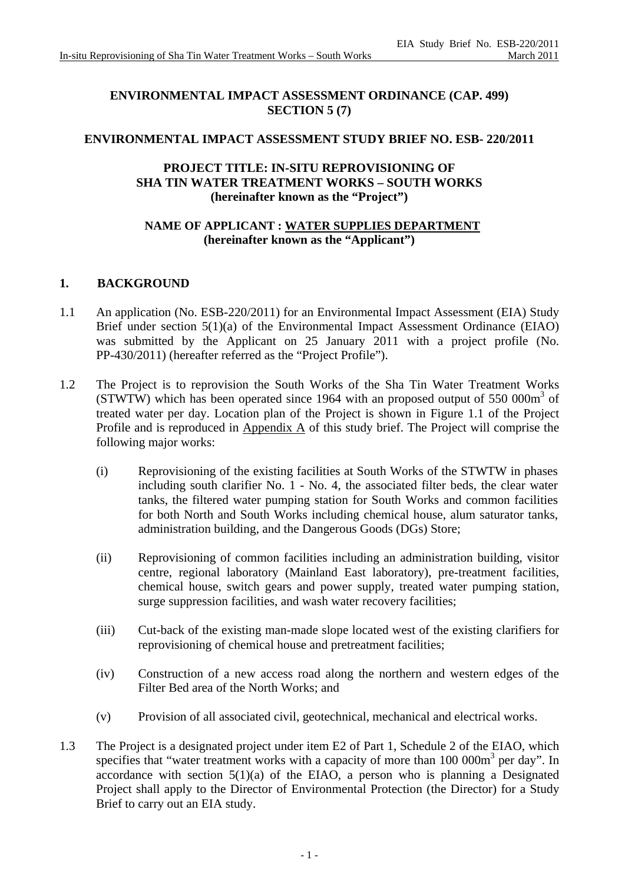## **ENVIRONMENTAL IMPACT ASSESSMENT ORDINANCE (CAP. 499) SECTION 5 (7)**

### **ENVIRONMENTAL IMPACT ASSESSMENT STUDY BRIEF NO. ESB- 220/2011**

### **PROJECT TITLE: IN-SITU REPROVISIONING OF SHA TIN WATER TREATMENT WORKS – SOUTH WORKS (hereinafter known as the "Project")**

### **NAME OF APPLICANT : WATER SUPPLIES DEPARTMENT (hereinafter known as the "Applicant")**

### **1. BACKGROUND**

- 1.1 An application (No. ESB-220/2011) for an Environmental Impact Assessment (EIA) Study Brief under section 5(1)(a) of the Environmental Impact Assessment Ordinance (EIAO) was submitted by the Applicant on 25 January 2011 with a project profile (No. PP-430/2011) (hereafter referred as the "Project Profile").
- 1.2 The Project is to reprovision the South Works of the Sha Tin Water Treatment Works (STWTW) which has been operated since 1964 with an proposed output of 550 000 $m<sup>3</sup>$  of treated water per day. Location plan of the Project is shown in Figure 1.1 of the Project Profile and is reproduced in Appendix A of this study brief. The Project will comprise the following major works:
	- (i) Reprovisioning of the existing facilities at South Works of the STWTW in phases including south clarifier No. 1 - No. 4, the associated filter beds, the clear water tanks, the filtered water pumping station for South Works and common facilities for both North and South Works including chemical house, alum saturator tanks, administration building, and the Dangerous Goods (DGs) Store;
	- (ii) Reprovisioning of common facilities including an administration building, visitor centre, regional laboratory (Mainland East laboratory), pre-treatment facilities, chemical house, switch gears and power supply, treated water pumping station, surge suppression facilities, and wash water recovery facilities;
	- (iii) Cut-back of the existing man-made slope located west of the existing clarifiers for reprovisioning of chemical house and pretreatment facilities;
	- (iv) Construction of a new access road along the northern and western edges of the Filter Bed area of the North Works; and
	- (v) Provision of all associated civil, geotechnical, mechanical and electrical works.
- 1.3 The Project is a designated project under item E2 of Part 1, Schedule 2 of the EIAO, which specifies that "water treatment works with a capacity of more than  $100 000 \text{m}^3$  per day". In accordance with section  $5(1)(a)$  of the EIAO, a person who is planning a Designated Project shall apply to the Director of Environmental Protection (the Director) for a Study Brief to carry out an EIA study.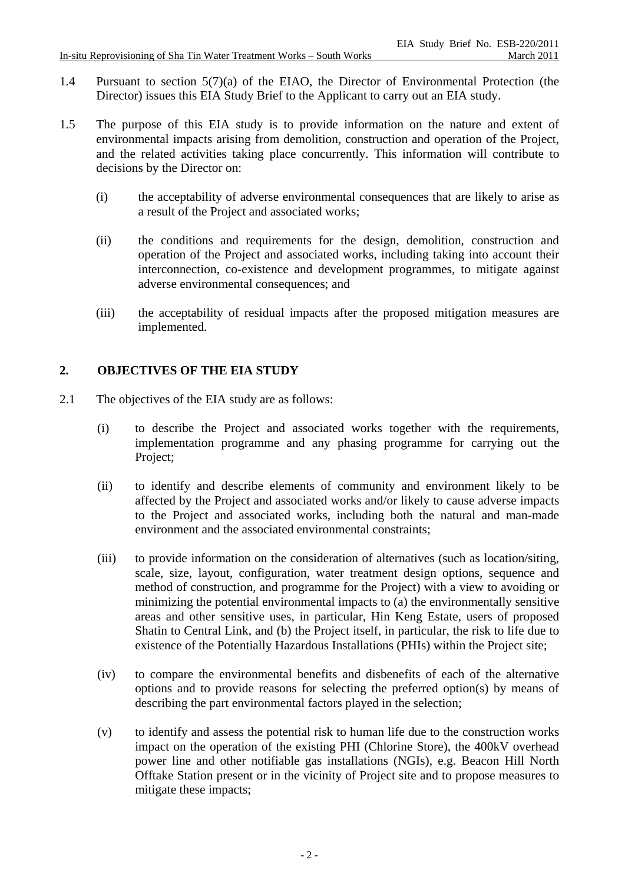- 1.4 Pursuant to section 5(7)(a) of the EIAO, the Director of Environmental Protection (the Director) issues this EIA Study Brief to the Applicant to carry out an EIA study.
- 1.5 The purpose of this EIA study is to provide information on the nature and extent of environmental impacts arising from demolition, construction and operation of the Project, and the related activities taking place concurrently. This information will contribute to decisions by the Director on:
	- (i) the acceptability of adverse environmental consequences that are likely to arise as a result of the Project and associated works;
	- (ii) the conditions and requirements for the design, demolition, construction and operation of the Project and associated works, including taking into account their interconnection, co-existence and development programmes, to mitigate against adverse environmental consequences; and
	- (iii) the acceptability of residual impacts after the proposed mitigation measures are implemented.

# **2. OBJECTIVES OF THE EIA STUDY**

- 2.1 The objectives of the EIA study are as follows:
	- (i) to describe the Project and associated works together with the requirements, implementation programme and any phasing programme for carrying out the Project;
	- (ii) to identify and describe elements of community and environment likely to be affected by the Project and associated works and/or likely to cause adverse impacts to the Project and associated works, including both the natural and man-made environment and the associated environmental constraints;
	- (iii) to provide information on the consideration of alternatives (such as location/siting, scale, size, layout, configuration, water treatment design options, sequence and method of construction, and programme for the Project) with a view to avoiding or minimizing the potential environmental impacts to (a) the environmentally sensitive areas and other sensitive uses, in particular, Hin Keng Estate, users of proposed Shatin to Central Link, and (b) the Project itself, in particular, the risk to life due to existence of the Potentially Hazardous Installations (PHIs) within the Project site;
	- (iv) to compare the environmental benefits and disbenefits of each of the alternative options and to provide reasons for selecting the preferred option(s) by means of describing the part environmental factors played in the selection;
	- (v) to identify and assess the potential risk to human life due to the construction works impact on the operation of the existing PHI (Chlorine Store), the 400kV overhead power line and other notifiable gas installations (NGIs), e.g. Beacon Hill North Offtake Station present or in the vicinity of Project site and to propose measures to mitigate these impacts;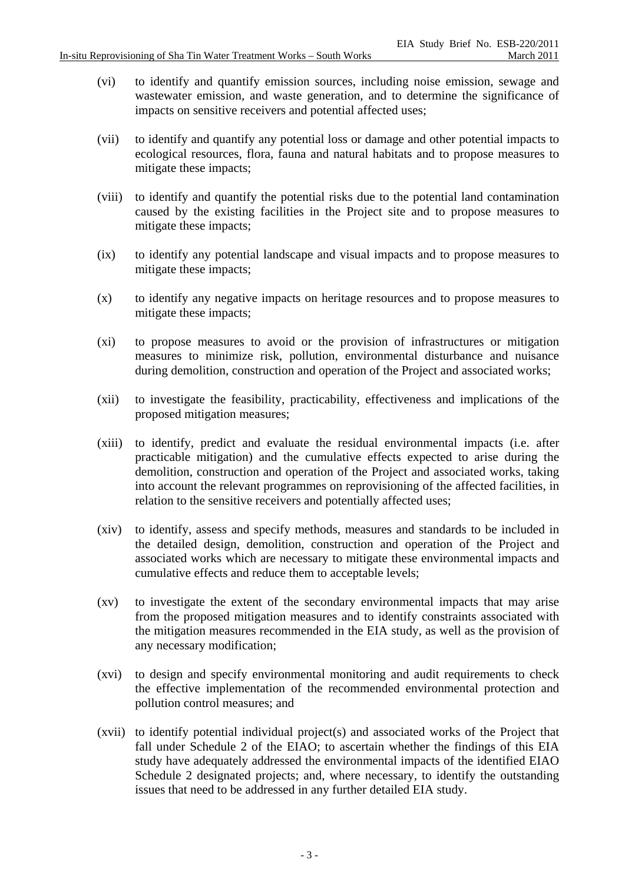- (vi) to identify and quantify emission sources, including noise emission, sewage and wastewater emission, and waste generation, and to determine the significance of impacts on sensitive receivers and potential affected uses;
- (vii) to identify and quantify any potential loss or damage and other potential impacts to ecological resources, flora, fauna and natural habitats and to propose measures to mitigate these impacts;
- (viii) to identify and quantify the potential risks due to the potential land contamination caused by the existing facilities in the Project site and to propose measures to mitigate these impacts;
- (ix) to identify any potential landscape and visual impacts and to propose measures to mitigate these impacts;
- (x) to identify any negative impacts on heritage resources and to propose measures to mitigate these impacts;
- (xi) to propose measures to avoid or the provision of infrastructures or mitigation measures to minimize risk, pollution, environmental disturbance and nuisance during demolition, construction and operation of the Project and associated works;
- (xii) to investigate the feasibility, practicability, effectiveness and implications of the proposed mitigation measures;
- (xiii) to identify, predict and evaluate the residual environmental impacts (i.e. after practicable mitigation) and the cumulative effects expected to arise during the demolition, construction and operation of the Project and associated works, taking into account the relevant programmes on reprovisioning of the affected facilities, in relation to the sensitive receivers and potentially affected uses;
- (xiv) to identify, assess and specify methods, measures and standards to be included in the detailed design, demolition, construction and operation of the Project and associated works which are necessary to mitigate these environmental impacts and cumulative effects and reduce them to acceptable levels;
- (xv) to investigate the extent of the secondary environmental impacts that may arise from the proposed mitigation measures and to identify constraints associated with the mitigation measures recommended in the EIA study, as well as the provision of any necessary modification;
- (xvi) to design and specify environmental monitoring and audit requirements to check the effective implementation of the recommended environmental protection and pollution control measures; and
- (xvii) to identify potential individual project(s) and associated works of the Project that fall under Schedule 2 of the EIAO; to ascertain whether the findings of this EIA study have adequately addressed the environmental impacts of the identified EIAO Schedule 2 designated projects; and, where necessary, to identify the outstanding issues that need to be addressed in any further detailed EIA study.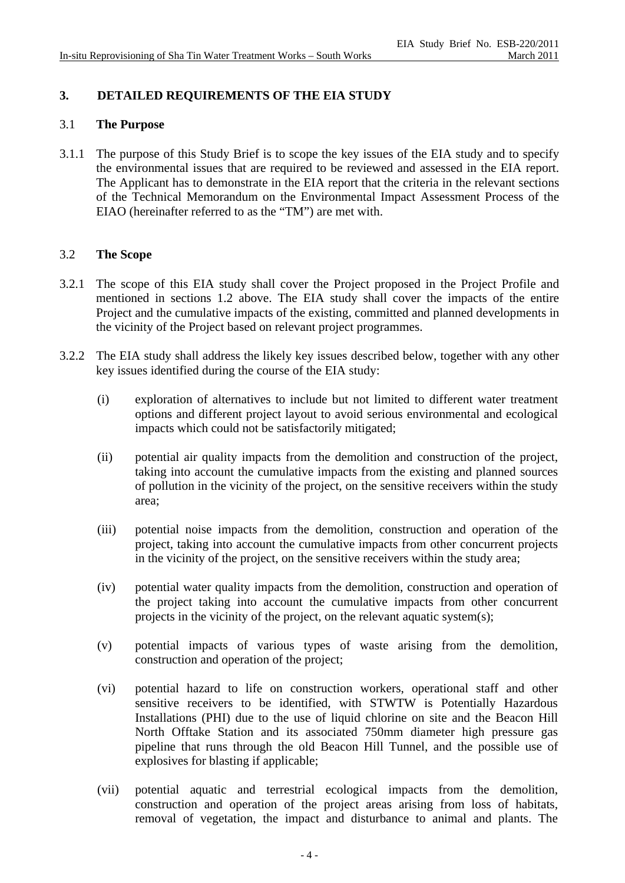# **3. DETAILED REQUIREMENTS OF THE EIA STUDY**

### 3.1 **The Purpose**

3.1.1 The purpose of this Study Brief is to scope the key issues of the EIA study and to specify the environmental issues that are required to be reviewed and assessed in the EIA report. The Applicant has to demonstrate in the EIA report that the criteria in the relevant sections of the Technical Memorandum on the Environmental Impact Assessment Process of the EIAO (hereinafter referred to as the "TM") are met with.

### 3.2 **The Scope**

- 3.2.1 The scope of this EIA study shall cover the Project proposed in the Project Profile and mentioned in sections 1.2 above. The EIA study shall cover the impacts of the entire Project and the cumulative impacts of the existing, committed and planned developments in the vicinity of the Project based on relevant project programmes.
- 3.2.2 The EIA study shall address the likely key issues described below, together with any other key issues identified during the course of the EIA study:
	- (i) exploration of alternatives to include but not limited to different water treatment options and different project layout to avoid serious environmental and ecological impacts which could not be satisfactorily mitigated;
	- (ii) potential air quality impacts from the demolition and construction of the project, taking into account the cumulative impacts from the existing and planned sources of pollution in the vicinity of the project, on the sensitive receivers within the study area;
	- (iii) potential noise impacts from the demolition, construction and operation of the project, taking into account the cumulative impacts from other concurrent projects in the vicinity of the project, on the sensitive receivers within the study area;
	- (iv) potential water quality impacts from the demolition, construction and operation of the project taking into account the cumulative impacts from other concurrent projects in the vicinity of the project, on the relevant aquatic system(s);
	- (v) potential impacts of various types of waste arising from the demolition, construction and operation of the project;
	- (vi) potential hazard to life on construction workers, operational staff and other sensitive receivers to be identified, with STWTW is Potentially Hazardous Installations (PHI) due to the use of liquid chlorine on site and the Beacon Hill North Offtake Station and its associated 750mm diameter high pressure gas pipeline that runs through the old Beacon Hill Tunnel, and the possible use of explosives for blasting if applicable;
	- (vii) potential aquatic and terrestrial ecological impacts from the demolition, construction and operation of the project areas arising from loss of habitats, removal of vegetation, the impact and disturbance to animal and plants. The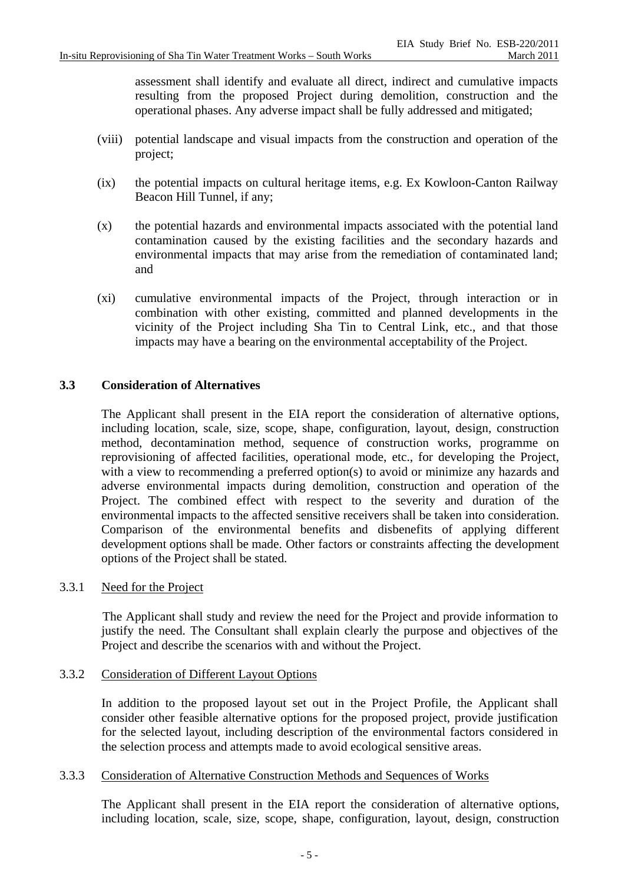assessment shall identify and evaluate all direct, indirect and cumulative impacts resulting from the proposed Project during demolition, construction and the operational phases. Any adverse impact shall be fully addressed and mitigated;

- (viii) potential landscape and visual impacts from the construction and operation of the project;
- (ix) the potential impacts on cultural heritage items, e.g. Ex Kowloon-Canton Railway Beacon Hill Tunnel, if any;
- (x) the potential hazards and environmental impacts associated with the potential land contamination caused by the existing facilities and the secondary hazards and environmental impacts that may arise from the remediation of contaminated land; and
- (xi) cumulative environmental impacts of the Project, through interaction or in combination with other existing, committed and planned developments in the vicinity of the Project including Sha Tin to Central Link, etc., and that those impacts may have a bearing on the environmental acceptability of the Project.

## **3.3 Consideration of Alternatives**

 The Applicant shall present in the EIA report the consideration of alternative options, including location, scale, size, scope, shape, configuration, layout, design, construction method, decontamination method, sequence of construction works, programme on reprovisioning of affected facilities, operational mode, etc., for developing the Project, with a view to recommending a preferred option(s) to avoid or minimize any hazards and adverse environmental impacts during demolition, construction and operation of the Project. The combined effect with respect to the severity and duration of the environmental impacts to the affected sensitive receivers shall be taken into consideration. Comparison of the environmental benefits and disbenefits of applying different development options shall be made. Other factors or constraints affecting the development options of the Project shall be stated.

### 3.3.1 Need for the Project

The Applicant shall study and review the need for the Project and provide information to justify the need. The Consultant shall explain clearly the purpose and objectives of the Project and describe the scenarios with and without the Project.

### 3.3.2 Consideration of Different Layout Options

 In addition to the proposed layout set out in the Project Profile, the Applicant shall consider other feasible alternative options for the proposed project, provide justification for the selected layout, including description of the environmental factors considered in the selection process and attempts made to avoid ecological sensitive areas.

### 3.3.3 Consideration of Alternative Construction Methods and Sequences of Works

The Applicant shall present in the EIA report the consideration of alternative options, including location, scale, size, scope, shape, configuration, layout, design, construction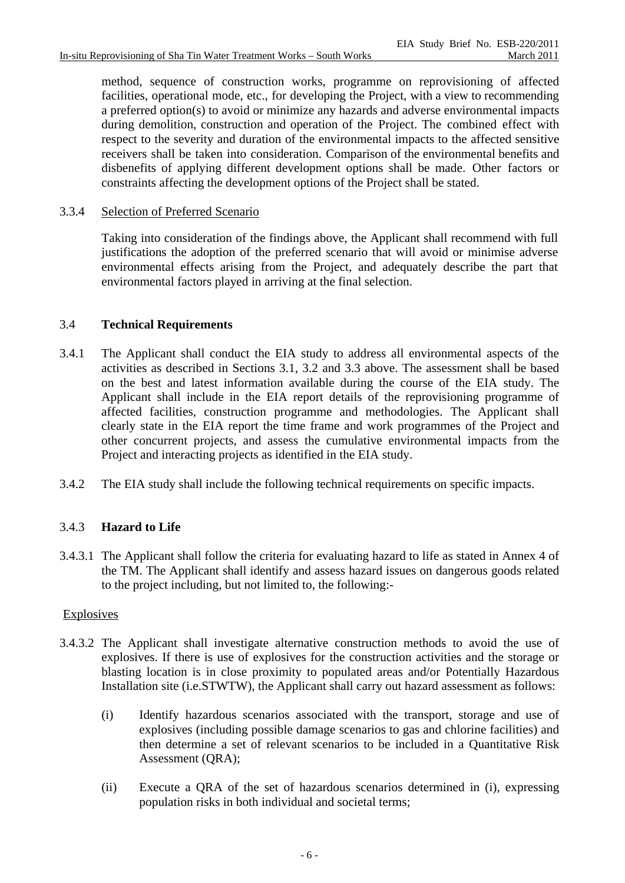method, sequence of construction works, programme on reprovisioning of affected facilities, operational mode, etc., for developing the Project, with a view to recommending a preferred option(s) to avoid or minimize any hazards and adverse environmental impacts during demolition, construction and operation of the Project. The combined effect with respect to the severity and duration of the environmental impacts to the affected sensitive receivers shall be taken into consideration. Comparison of the environmental benefits and disbenefits of applying different development options shall be made. Other factors or constraints affecting the development options of the Project shall be stated.

# 3.3.4 Selection of Preferred Scenario

Taking into consideration of the findings above, the Applicant shall recommend with full justifications the adoption of the preferred scenario that will avoid or minimise adverse environmental effects arising from the Project, and adequately describe the part that environmental factors played in arriving at the final selection.

## 3.4 **Technical Requirements**

- 3.4.1 The Applicant shall conduct the EIA study to address all environmental aspects of the activities as described in Sections 3.1, 3.2 and 3.3 above. The assessment shall be based on the best and latest information available during the course of the EIA study. The Applicant shall include in the EIA report details of the reprovisioning programme of affected facilities, construction programme and methodologies. The Applicant shall clearly state in the EIA report the time frame and work programmes of the Project and other concurrent projects, and assess the cumulative environmental impacts from the Project and interacting projects as identified in the EIA study.
- 3.4.2 The EIA study shall include the following technical requirements on specific impacts.

## 3.4.3 **Hazard to Life**

3.4.3.1 The Applicant shall follow the criteria for evaluating hazard to life as stated in Annex 4 of the TM. The Applicant shall identify and assess hazard issues on dangerous goods related to the project including, but not limited to, the following:-

## Explosives

- 3.4.3.2 The Applicant shall investigate alternative construction methods to avoid the use of explosives. If there is use of explosives for the construction activities and the storage or blasting location is in close proximity to populated areas and/or Potentially Hazardous Installation site (i.e.STWTW), the Applicant shall carry out hazard assessment as follows:
	- (i) Identify hazardous scenarios associated with the transport, storage and use of explosives (including possible damage scenarios to gas and chlorine facilities) and then determine a set of relevant scenarios to be included in a Quantitative Risk Assessment (QRA);
	- (ii) Execute a QRA of the set of hazardous scenarios determined in (i), expressing population risks in both individual and societal terms;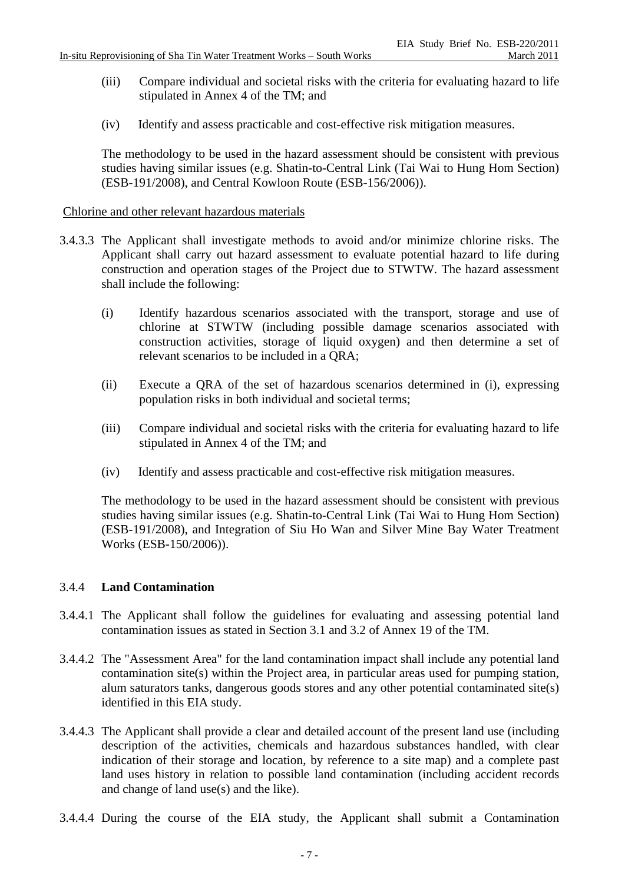- (iii) Compare individual and societal risks with the criteria for evaluating hazard to life stipulated in Annex 4 of the TM; and
- (iv) Identify and assess practicable and cost-effective risk mitigation measures.

The methodology to be used in the hazard assessment should be consistent with previous studies having similar issues (e.g. Shatin-to-Central Link (Tai Wai to Hung Hom Section) (ESB-191/2008), and Central Kowloon Route (ESB-156/2006)).

### Chlorin e and other relevant hazardous materials

- 3.4.3.3 The Applicant shall investigate methods to avoid and/or minimize chlorine risks. The Applicant shall carry out hazard assessment to evaluate potential hazard to life during construction and operation stages of the Project due to STWTW. The hazard assessment shall include the following:
	- (i) Identify hazardous scenarios associated with the transport, storage and use of chlorine at STWTW (including possible damage scenarios associated with construction activities, storage of liquid oxygen) and then determine a set of relevant scenarios to be included in a QRA;
	- (ii) Execute a QRA of the set of hazardous scenarios determined in (i), expressing population risks in both individual and societal terms;
	- (iii) Compare individual and societal risks with the criteria for evaluating hazard to life stipulated in Annex 4 of the TM; and
	- (iv) Identify and assess practicable and cost-effective risk mitigation measures.

 The methodology to be used in the hazard assessment should be consistent with previous studies having similar issues (e.g. Shatin-to-Central Link (Tai Wai to Hung Hom Section) (ESB-191/2008), and Integration of Siu Ho Wan and Silver Mine Bay Water Treatment Works (ESB-150/2006)).

### 3.4.4 **Land Contamination**

- 3.4.4.1 The Applicant shall follow the guidelines for evaluating and assessing potential land contamination issues as stated in Section 3.1 and 3.2 of Annex 19 of the TM.
- 3.4.4.2 The "Assessment Area" for the land contamination impact shall include any potential land contamination site(s) within the Project area, in particular areas used for pumping station, alum saturators tanks, dangerous goods stores and any other potential contaminated site(s) identified in this EIA study.
- 3.4.4.3 The Applicant shall provide a clear and detailed account of the present land use (including description of the activities, chemicals and hazardous substances handled, with clear indication of their storage and location, by reference to a site map) and a complete past land uses history in relation to possible land contamination (including accident records and change of land use(s) and the like).
- 3.4.4.4 During the course of the EIA study, the Applicant shall submit a Contamination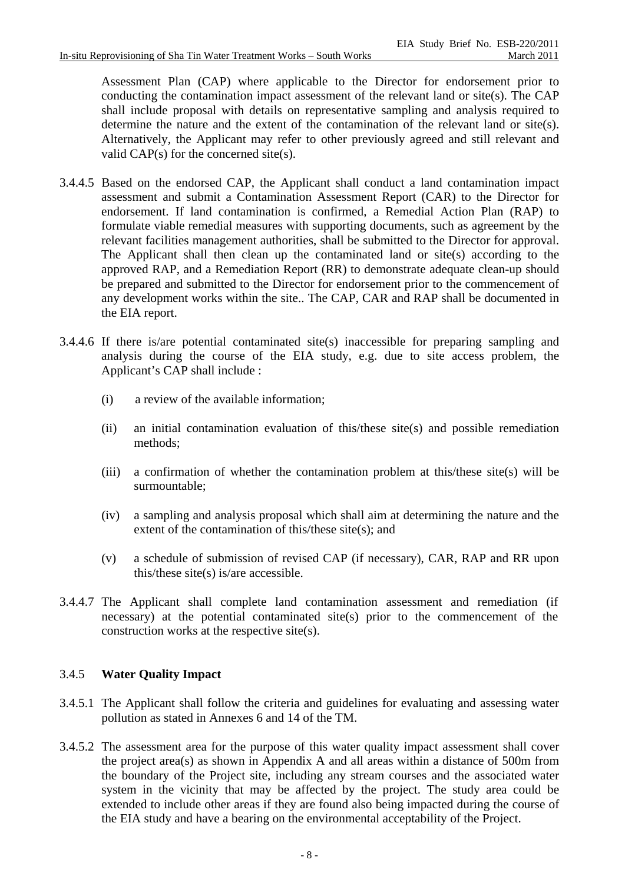Assessment Plan (CAP) where applicable to the Director for endorsement prior to conducting the contamination impact assessment of the relevant land or site(s). The CAP shall include proposal with details on representative sampling and analysis required to determine the nature and the extent of the contamination of the relevant land or site(s). Alternatively, the Applicant may refer to other previously agreed and still relevant and valid CAP(s) for the concerned site(s).

- 3.4.4.5 Based on the endorsed CAP, the Applicant shall conduct a land contamination impact assessment and submit a Contamination Assessment Report (CAR) to the Director for endorsement. If land contamination is confirmed, a Remedial Action Plan (RAP) to formulate viable remedial measures with supporting documents, such as agreement by the relevant facilities management authorities, shall be submitted to the Director for approval. The Applicant shall then clean up the contaminated land or site(s) according to the approved RAP, and a Remediation Report (RR) to demonstrate adequate clean-up should be prepared and submitted to the Director for endorsement prior to the commencement of any development works within the site.. The CAP, CAR and RAP shall be documented in the EIA report.
- 3.4.4.6 If there is/are potential contaminated site(s) inaccessible for preparing sampling and analysis during the course of the EIA study, e.g. due to site access problem, the Applicant's CAP shall include :
	- (i) a review of the available information;
	- (ii) an initial contamination evaluation of this/these site(s) and possible remediation methods;
	- (iii) a confirmation of whether the contamination problem at this/these site(s) will be surmountable;
	- (iv) a sampling and analysis proposal which shall aim at determining the nature and the extent of the contamination of this/these site(s); and
	- (v) a schedule of submission of revised CAP (if necessary), CAR, RAP and RR upon this/these site(s) is/are accessible.
- 3.4.4.7 The Applicant shall complete land contamination assessment and remediation (if necessary) at the potential contaminated site(s) prior to the commencement of the construction works at the respective site(s).

# 3.4.5 **Water Quality Impact**

- 3.4.5.1 The Applicant shall follow the criteria and guidelines for evaluating and assessing water pollution as stated in Annexes 6 and 14 of the TM.
- 3.4.5.2 The assessment area for the purpose of this water quality impact assessment shall cover the project area(s) as shown in Appendix A and all areas within a distance of 500m from the boundary of the Project site, including any stream courses and the associated water system in the vicinity that may be affected by the project. The study area could be extended to include other areas if they are found also being impacted during the course of the EIA study and have a bearing on the environmental acceptability of the Project.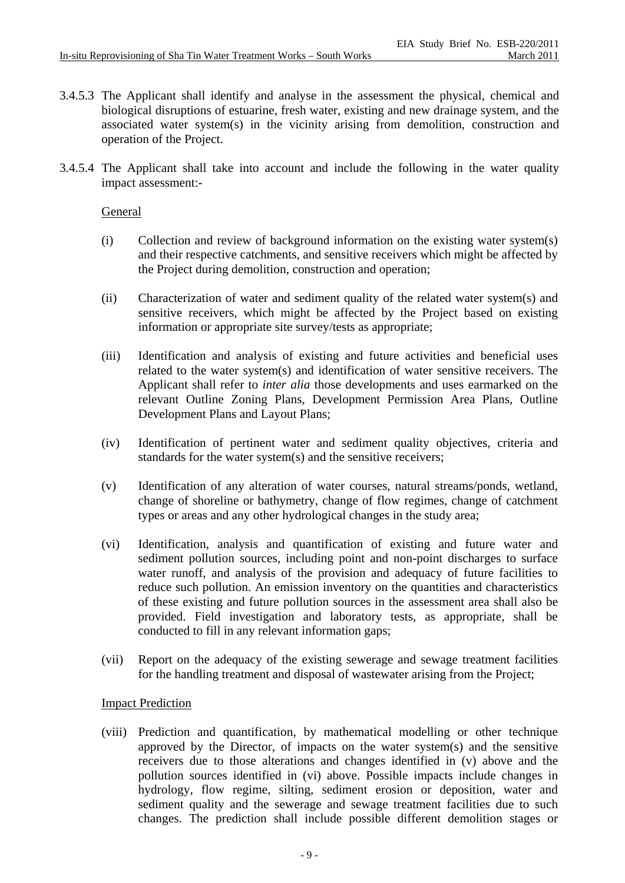- 3.4.5.3 The Applicant shall identify and analyse in the assessment the physical, chemical and biological disruptions of estuarine, fresh water, existing and new drainage system, and the associated water system(s) in the vicinity arising from demolition, construction and operation of the Project.
- 3.4.5.4 The Applicant shall take into account and include the following in the water quality impact assessment:-

### General

- (i) Collection and review of background information on the existing water system(s) and their respective catchments, and sensitive receivers which might be affected by the Project during demolition, construction and operation;
- (ii) Characterization of water and sediment quality of the related water system(s) and sensitive receivers, which might be affected by the Project based on existing information or appropriate site survey/tests as appropriate;
- (iii) Identification and analysis of existing and future activities and beneficial uses related to the water system(s) and identification of water sensitive receivers. The Applicant shall refer to *inter alia* those developments and uses earmarked on the relevant Outline Zoning Plans, Development Permission Area Plans, Outline Development Plans and Layout Plans;
- (iv) Identification of pertinent water and sediment quality objectives, criteria and standards for the water system(s) and the sensitive receivers;
- (v) Identification of any alteration of water courses, natural streams/ponds, wetland, change of shoreline or bathymetry, change of flow regimes, change of catchment types or areas and any other hydrological changes in the study area;
- (vi) Identification, analysis and quantification of existing and future water and sediment pollution sources, including point and non-point discharges to surface water runoff, and analysis of the provision and adequacy of future facilities to reduce such pollution. An emission inventory on the quantities and characteristics of these existing and future pollution sources in the assessment area shall also be provided. Field investigation and laboratory tests, as appropriate, shall be conducted to fill in any relevant information gaps;
- (vii) Report on the adequacy of the existing sewerage and sewage treatment facilities for the handling treatment and disposal of wastewater arising from the Project;

### Impact Prediction

(viii) Prediction and quantification, by mathematical modelling or other technique approved by the Director, of impacts on the water system(s) and the sensitive receivers due to those alterations and changes identified in (v) above and the pollution sources identified in (vi) above. Possible impacts include changes in hydrology, flow regime, silting, sediment erosion or deposition, water and sediment quality and the sewerage and sewage treatment facilities due to such changes. The prediction shall include possible different demolition stages or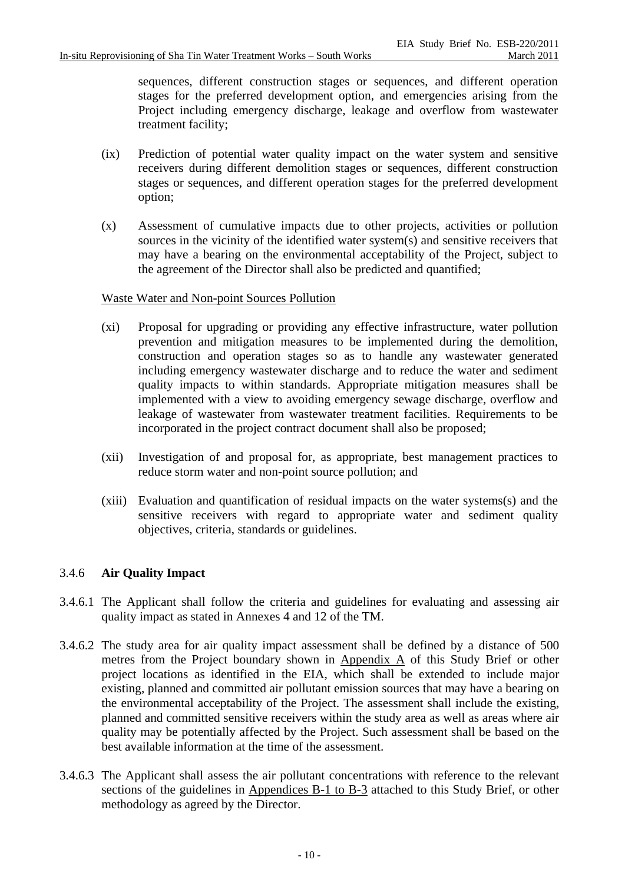sequences, different construction stages or sequences, and different operation stages for the preferred development option, and emergencies arising from the Project including emergency discharge, leakage and overflow from wastewater treatment facility;

- (ix) Prediction of potential water quality impact on the water system and sensitive receivers during different demolition stages or sequences, different construction stages or sequences, and different operation stages for the preferred development option;
- (x) Assessment of cumulative impacts due to other projects, activities or pollution sources in the vicinity of the identified water system(s) and sensitive receivers that may have a bearing on the environmental acceptability of the Project, subject to the agreement of the Director shall also be predicted and quantified;

### Waste Water and Non-point Sources Pollution

- (xi) Proposal for upgrading or providing any effective infrastructure, water pollution prevention and mitigation measures to be implemented during the demolition, construction and operation stages so as to handle any wastewater generated including emergency wastewater discharge and to reduce the water and sediment quality impacts to within standards. Appropriate mitigation measures shall be implemented with a view to avoiding emergency sewage discharge, overflow and leakage of wastewater from wastewater treatment facilities. Requirements to be incorporated in the project contract document shall also be proposed;
- (xii) Investigation of and proposal for, as appropriate, best management practices to reduce storm water and non-point source pollution; and
- (xiii) Evaluation and quantification of residual impacts on the water systems(s) and the sensitive receivers with regard to appropriate water and sediment quality objectives, criteria, standards or guidelines.

### 3.4.6 **Air Quality Impact**

- 3.4.6.1 The Applicant shall follow the criteria and guidelines for evaluating and assessing air quality impact as stated in Annexes 4 and 12 of the TM.
- 3.4.6.2 The study area for air quality impact assessment shall be defined by a distance of 500 metres from the Project boundary shown in Appendix A of this Study Brief or other project locations as identified in the EIA, which shall be extended to include major existing, planned and committed air pollutant emission sources that may have a bearing on the environmental acceptability of the Project. The assessment shall include the existing, planned and committed sensitive receivers within the study area as well as areas where air quality may be potentially affected by the Project. Such assessment shall be based on the best available information at the time of the assessment.
- 3.4.6.3 The Applicant shall assess the air pollutant concentrations with reference to the relevant sections of the guidelines in Appendices B-1 to B-3 attached to this Study Brief, or other methodology as agreed by the Director.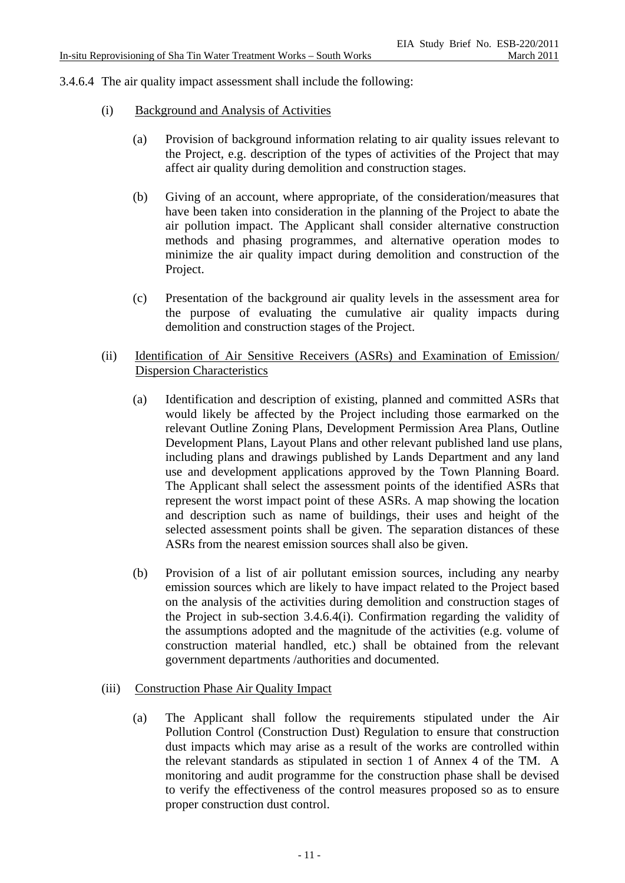3.4.6.4 The air quality impact assessment shall include the following:

- (i) Background and Analysis of Activities
	- (a) Provision of background information relating to air quality issues relevant to the Project, e.g. description of the types of activities of the Project that may affect air quality during demolition and construction stages.
	- (b) Giving of an account, where appropriate, of the consideration/measures that have been taken into consideration in the planning of the Project to abate the air pollution impact. The Applicant shall consider alternative construction methods and phasing programmes, and alternative operation modes to minimize the air quality impact during demolition and construction of the Project.
	- (c) Presentation of the background air quality levels in the assessment area for the purpose of evaluating the cumulative air quality impacts during demolition and construction stages of the Project.
- (ii) Identification of Air Sensitive Receivers (ASRs) and Examination of Emission/ Dispersion Characteristics
	- (a) Identification and description of existing, planned and committed ASRs that would likely be affected by the Project including those earmarked on the relevant Outline Zoning Plans, Development Permission Area Plans, Outline Development Plans, Layout Plans and other relevant published land use plans, including plans and drawings published by Lands Department and any land use and development applications approved by the Town Planning Board. The Applicant shall select the assessment points of the identified ASRs that represent the worst impact point of these ASRs. A map showing the location and description such as name of buildings, their uses and height of the selected assessment points shall be given. The separation distances of these ASRs from the nearest emission sources shall also be given.
	- (b) Provision of a list of air pollutant emission sources, including any nearby emission sources which are likely to have impact related to the Project based on the analysis of the activities during demolition and construction stages of the Project in sub-section 3.4.6.4(i). Confirmation regarding the validity of the assumptions adopted and the magnitude of the activities (e.g. volume of construction material handled, etc.) shall be obtained from the relevant government departments /authorities and documented.

## (iii) Construction Phase Air Quality Impact

(a) The Applicant shall follow the requirements stipulated under the Air Pollution Control (Construction Dust) Regulation to ensure that construction dust impacts which may arise as a result of the works are controlled within the relevant standards as stipulated in section 1 of Annex 4 of the TM. A monitoring and audit programme for the construction phase shall be devised to verify the effectiveness of the control measures proposed so as to ensure proper construction dust control.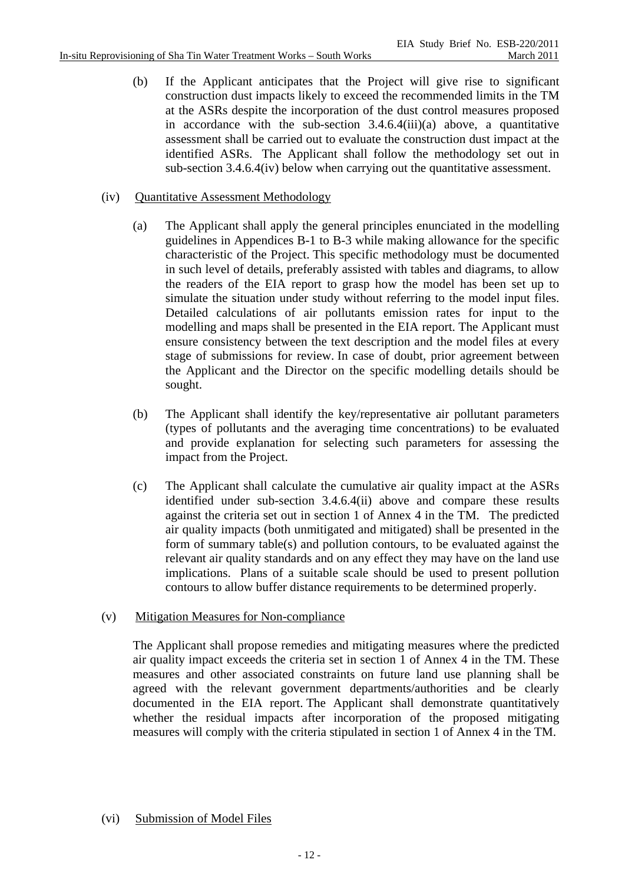(b) If the Applicant anticipates that the Project will give rise to significant construction dust impacts likely to exceed the recommended limits in the TM at the ASRs despite the incorporation of the dust control measures proposed in accordance with the sub-section 3.4.6.4(iii)(a) above, a quantitative assessment shall be carried out to evaluate the construction dust impact at the identified ASRs. The Applicant shall follow the methodology set out in sub-section 3.4.6.4(iv) below when carrying out the quantitative assessment.

## (iv) Quantitative Assessment Methodology

- (a) The Applicant shall apply the general principles enunciated in the modelling guidelines in Appendices B-1 to B-3 while making allowance for the specific characteristic of the Project. This specific methodology must be documented in such level of details, preferably assisted with tables and diagrams, to allow the readers of the EIA report to grasp how the model has been set up to simulate the situation under study without referring to the model input files. Detailed calculations of air pollutants emission rates for input to the modelling and maps shall be presented in the EIA report. The Applicant must ensure consistency between the text description and the model files at every stage of submissions for review. In case of doubt, prior agreement between the Applicant and the Director on the specific modelling details should be sought.
- (b) The Applicant shall identify the key/representative air pollutant parameters (types of pollutants and the averaging time concentrations) to be evaluated and provide explanation for selecting such parameters for assessing the impact from the Project.
- (c) The Applicant shall calculate the cumulative air quality impact at the ASRs identified under sub-section 3.4.6.4(ii) above and compare these results against the criteria set out in section 1 of Annex 4 in the TM. The predicted air quality impacts (both unmitigated and mitigated) shall be presented in the form of summary table(s) and pollution contours, to be evaluated against the relevant air quality standards and on any effect they may have on the land use implications. Plans of a suitable scale should be used to present pollution contours to allow buffer distance requirements to be determined properly.

### (v) Mitigation Measures for Non-compliance

The Applicant shall propose remedies and mitigating measures where the predicted air quality impact exceeds the criteria set in section 1 of Annex 4 in the TM. These measures and other associated constraints on future land use planning shall be agreed with the relevant government departments/authorities and be clearly documented in the EIA report. The Applicant shall demonstrate quantitatively whether the residual impacts after incorporation of the proposed mitigating measures will comply with the criteria stipulated in section 1 of Annex 4 in the TM.

## (vi) Submission of Model Files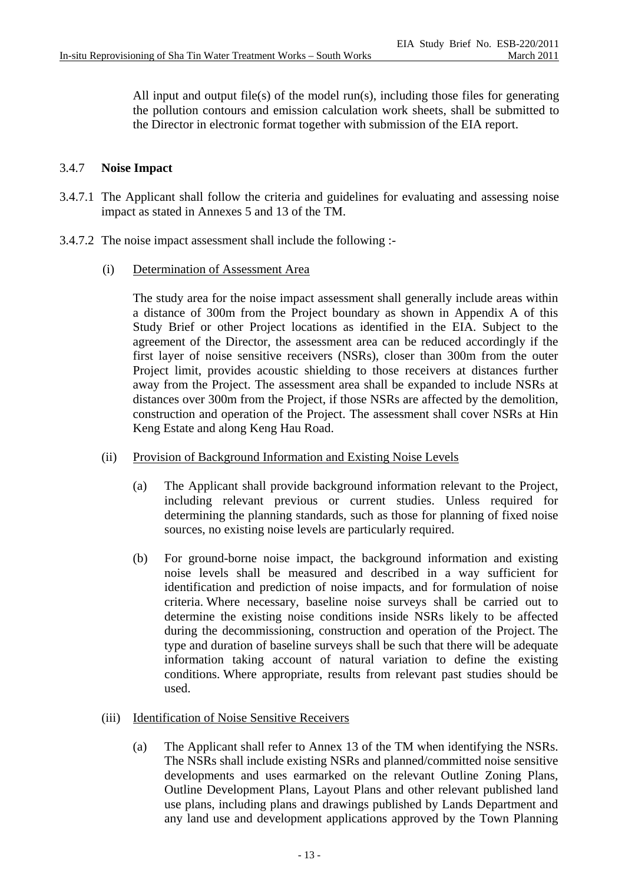All input and output file(s) of the model run(s), including those files for generating the pollution contours and emission calculation work sheets, shall be submitted to the Director in electronic format together with submission of the EIA report.

## 3.4.7 **Noise Impact**

- 3.4.7.1 The Applicant shall follow the criteria and guidelines for evaluating and assessing noise impact as stated in Annexes 5 and 13 of the TM.
- 3.4.7.2 The noise impact assessment shall include the following :-
	- (i) Determination of Assessment Area

 The study area for the noise impact assessment shall generally include areas within a distance of 300m from the Project boundary as shown in Appendix A of this Study Brief or other Project locations as identified in the EIA. Subject to the agreement of the Director, the assessment area can be reduced accordingly if the first layer of noise sensitive receivers (NSRs), closer than 300m from the outer Project limit, provides acoustic shielding to those receivers at distances further away from the Project. The assessment area shall be expanded to include NSRs at distances over 300m from the Project, if those NSRs are affected by the demolition, construction and operation of the Project. The assessment shall cover NSRs at Hin Keng Estate and along Keng Hau Road.

- (ii) Provision of Background Information and Existing Noise Levels
	- (a) The Applicant shall provide background information relevant to the Project, including relevant previous or current studies. Unless required for determining the planning standards, such as those for planning of fixed noise sources, no existing noise levels are particularly required.
	- (b) For ground-borne noise impact, the background information and existing noise levels shall be measured and described in a way sufficient for identification and prediction of noise impacts, and for formulation of noise criteria. Where necessary, baseline noise surveys shall be carried out to determine the existing noise conditions inside NSRs likely to be affected during the decommissioning, construction and operation of the Project. The type and duration of baseline surveys shall be such that there will be adequate information taking account of natural variation to define the existing conditions. Where appropriate, results from relevant past studies should be used.
- (iii) Identification of Noise Sensitive Receivers
	- (a) The Applicant shall refer to Annex 13 of the TM when identifying the NSRs. The NSRs shall include existing NSRs and planned/committed noise sensitive developments and uses earmarked on the relevant Outline Zoning Plans, Outline Development Plans, Layout Plans and other relevant published land use plans, including plans and drawings published by Lands Department and any land use and development applications approved by the Town Planning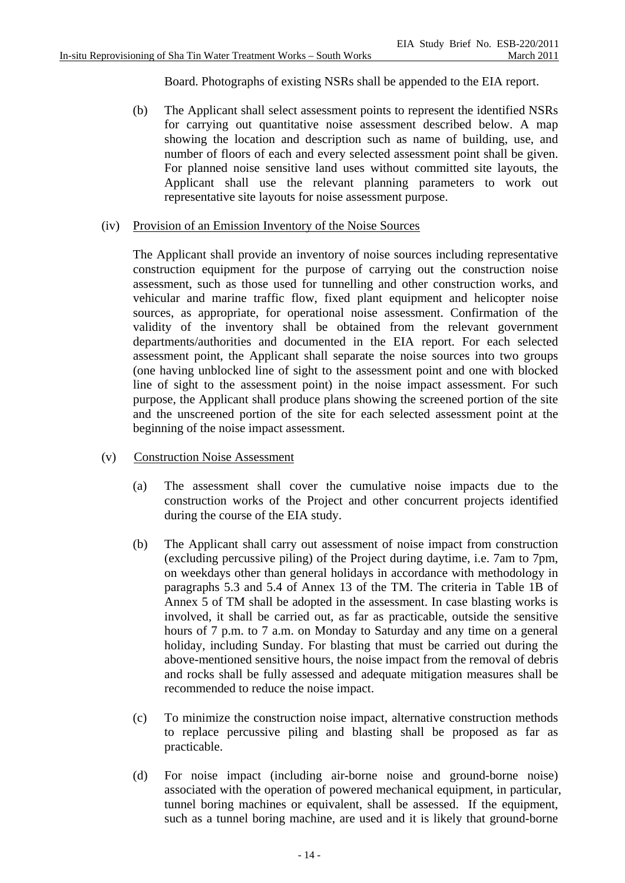Board. Photographs of existing NSRs shall be appended to the EIA report.

- (b) The Applicant shall select assessment points to represent the identified NSRs for carrying out quantitative noise assessment described below. A map showing the location and description such as name of building, use, and number of floors of each and every selected assessment point shall be given. For planned noise sensitive land uses without committed site layouts, the Applicant shall use the relevant planning parameters to work out representative site layouts for noise assessment purpose.
- (iv) Provision of an Emission Inventory of the Noise Sources

The Applicant shall provide an inventory of noise sources including representative construction equipment for the purpose of carrying out the construction noise assessment, such as those used for tunnelling and other construction works, and vehicular and marine traffic flow, fixed plant equipment and helicopter noise sources, as appropriate, for operational noise assessment. Confirmation of the validity of the inventory shall be obtained from the relevant government departments/authorities and documented in the EIA report. For each selected assessment point, the Applicant shall separate the noise sources into two groups (one having unblocked line of sight to the assessment point and one with blocked line of sight to the assessment point) in the noise impact assessment. For such purpose, the Applicant shall produce plans showing the screened portion of the site and the unscreened portion of the site for each selected assessment point at the beginning of the noise impact assessment.

- (v) Construction Noise Assessment
	- (a) The assessment shall cover the cumulative noise impacts due to the construction works of the Project and other concurrent projects identified during the course of the EIA study.
	- (b) The Applicant shall carry out assessment of noise impact from construction (excluding percussive piling) of the Project during daytime, i.e. 7am to 7pm, on weekdays other than general holidays in accordance with methodology in paragraphs 5.3 and 5.4 of Annex 13 of the TM. The criteria in Table 1B of Annex 5 of TM shall be adopted in the assessment. In case blasting works is involved, it shall be carried out, as far as practicable, outside the sensitive hours of 7 p.m. to 7 a.m. on Monday to Saturday and any time on a general holiday, including Sunday. For blasting that must be carried out during the above-mentioned sensitive hours, the noise impact from the removal of debris and rocks shall be fully assessed and adequate mitigation measures shall be recommended to reduce the noise impact.
	- (c) To minimize the construction noise impact, alternative construction methods to replace percussive piling and blasting shall be proposed as far as practicable.
	- (d) For noise impact (including air-borne noise and ground-borne noise) associated with the operation of powered mechanical equipment, in particular, tunnel boring machines or equivalent, shall be assessed. If the equipment, such as a tunnel boring machine, are used and it is likely that ground-borne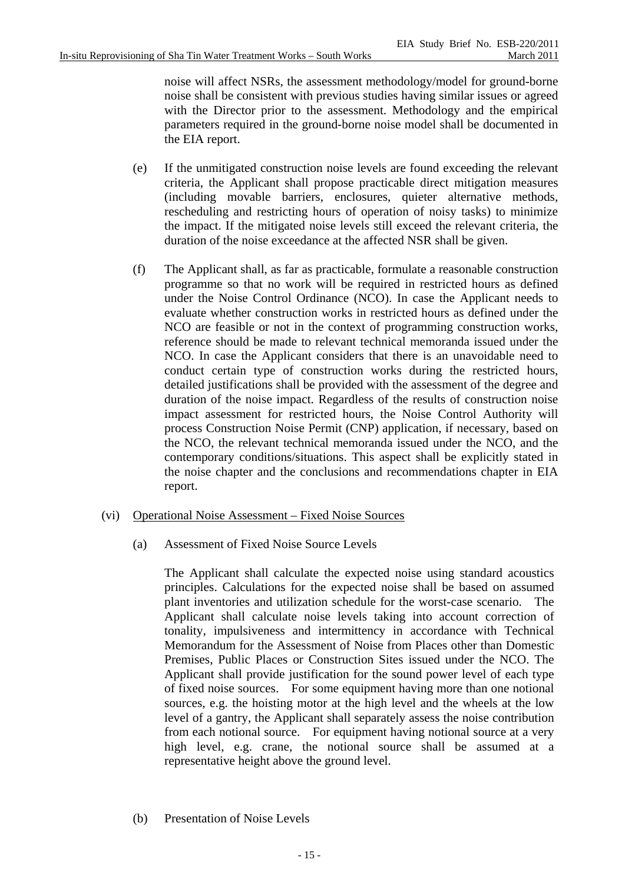noise will affect NSRs, the assessment methodology/model for ground-borne noise shall be consistent with previous studies having similar issues or agreed with the Director prior to the assessment. Methodology and the empirical parameters required in the ground-borne noise model shall be documented in the EIA report.

- (e) If the unmitigated construction noise levels are found exceeding the relevant criteria, the Applicant shall propose practicable direct mitigation measures (including movable barriers, enclosures, quieter alternative methods, rescheduling and restricting hours of operation of noisy tasks) to minimize the impact. If the mitigated noise levels still exceed the relevant criteria, the duration of the noise exceedance at the affected NSR shall be given.
- (f) The Applicant shall, as far as practicable, formulate a reasonable construction programme so that no work will be required in restricted hours as defined under the Noise Control Ordinance (NCO). In case the Applicant needs to evaluate whether construction works in restricted hours as defined under the NCO are feasible or not in the context of programming construction works, reference should be made to relevant technical memoranda issued under the NCO. In case the Applicant considers that there is an unavoidable need to conduct certain type of construction works during the restricted hours, detailed justifications shall be provided with the assessment of the degree and duration of the noise impact. Regardless of the results of construction noise impact assessment for restricted hours, the Noise Control Authority will process Construction Noise Permit (CNP) application, if necessary, based on the NCO, the relevant technical memoranda issued under the NCO, and the contemporary conditions/situations. This aspect shall be explicitly stated in the noise chapter and the conclusions and recommendations chapter in EIA report.
- (vi) Operational Noise Assessment Fixed Noise Sources
	- (a) Assessment of Fixed Noise Source Levels

The Applicant shall calculate the expected noise using standard acoustics principles. Calculations for the expected noise shall be based on assumed plant inventories and utilization schedule for the worst-case scenario. The Applicant shall calculate noise levels taking into account correction of tonality, impulsiveness and intermittency in accordance with Technical Memorandum for the Assessment of Noise from Places other than Domestic Premises, Public Places or Construction Sites issued under the NCO. The Applicant shall provide justification for the sound power level of each type of fixed noise sources. For some equipment having more than one notional sources, e.g. the hoisting motor at the high level and the wheels at the low level of a gantry, the Applicant shall separately assess the noise contribution from each notional source. For equipment having notional source at a very high level, e.g. crane, the notional source shall be assumed at a representative height above the ground level.

(b) Presentation of Noise Levels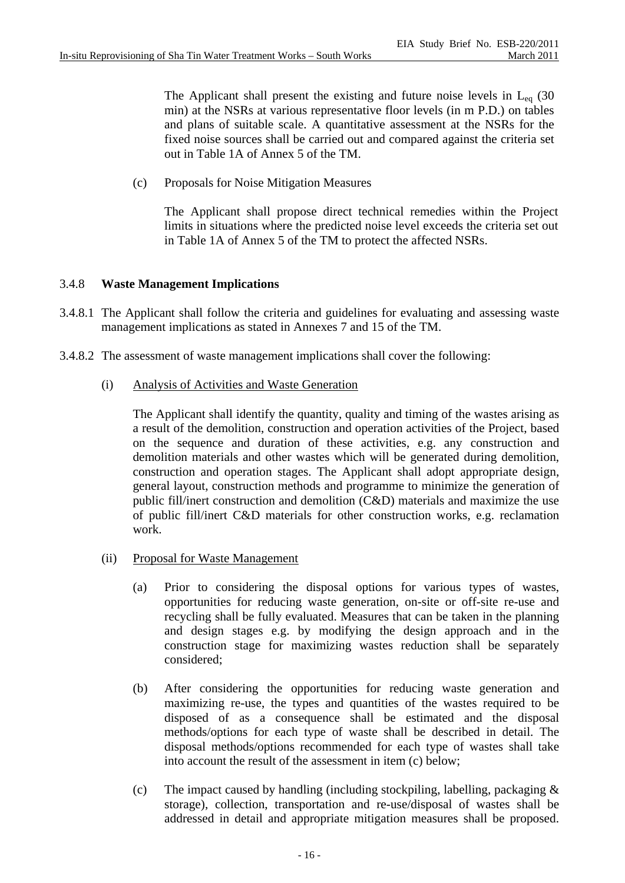The Applicant shall present the existing and future noise levels in  $L_{eq}$  (30) min) at the NSRs at various representative floor levels (in m P.D.) on tables and plans of suitable scale. A quantitative assessment at the NSRs for the fixed noise sources shall be carried out and compared against the criteria set out in Table 1A of Annex 5 of the TM.

(c) Proposals for Noise Mitigation Measures

The Applicant shall propose direct technical remedies within the Project limits in situations where the predicted noise level exceeds the criteria set out in Table 1A of Annex 5 of the TM to protect the affected NSRs.

### 3.4.8 **Waste Management Implications**

- 3.4.8.1 The Applicant shall follow the criteria and guidelines for evaluating and assessing waste management implications as stated in Annexes 7 and 15 of the TM.
- 3.4.8.2 The assessment of waste management implications shall cover the following:
	- (i) Analysis of Activities and Waste Generation

The Applicant shall identify the quantity, quality and timing of the wastes arising as a result of the demolition, construction and operation activities of the Project, based on the sequence and duration of these activities, e.g. any construction and demolition materials and other wastes which will be generated during demolition, construction and operation stages. The Applicant shall adopt appropriate design, general layout, construction methods and programme to minimize the generation of public fill/inert construction and demolition (C&D) materials and maximize the use of public fill/inert C&D materials for other construction works, e.g. reclamation work.

- (ii) Proposal for Waste Management
	- (a) Prior to considering the disposal options for various types of wastes, opportunities for reducing waste generation, on-site or off-site re-use and recycling shall be fully evaluated. Measures that can be taken in the planning and design stages e.g. by modifying the design approach and in the construction stage for maximizing wastes reduction shall be separately considered;
	- (b) After considering the opportunities for reducing waste generation and maximizing re-use, the types and quantities of the wastes required to be disposed of as a consequence shall be estimated and the disposal methods/options for each type of waste shall be described in detail. The disposal methods/options recommended for each type of wastes shall take into account the result of the assessment in item (c) below;
	- (c) The impact caused by handling (including stockpiling, labelling, packaging  $\&$ storage), collection, transportation and re-use/disposal of wastes shall be addressed in detail and appropriate mitigation measures shall be proposed.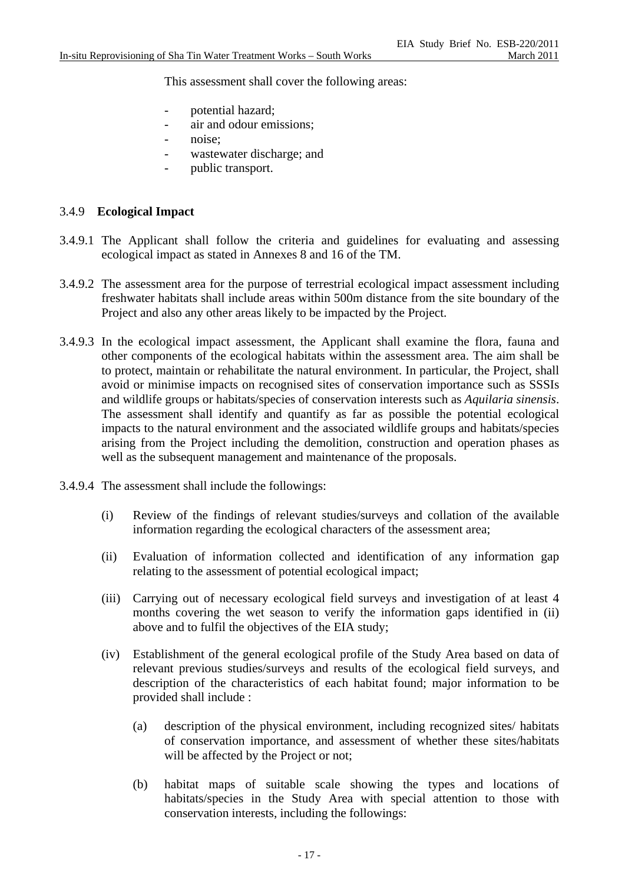This assessment shall cover the following areas:

- potential hazard:
- air and odour emissions;
- noise:
- wastewater discharge; and
- public transport.

### 3.4.9 **Ecological Impact**

- 3.4.9.1 The Applicant shall follow the criteria and guidelines for evaluating and assessing ecological impact as stated in Annexes 8 and 16 of the TM.
- 3.4.9.2 The assessment area for the purpose of terrestrial ecological impact assessment including freshwater habitats shall include areas within 500m distance from the site boundary of the Project and also any other areas likely to be impacted by the Project.
- 3.4.9.3 In the ecological impact assessment, the Applicant shall examine the flora, fauna and other components of the ecological habitats within the assessment area. The aim shall be to protect, maintain or rehabilitate the natural environment. In particular, the Project, shall avoid or minimise impacts on recognised sites of conservation importance such as SSSIs and wildlife groups or habitats/species of conservation interests such as *Aquilaria sinensis*. The assessment shall identify and quantify as far as possible the potential ecological impacts to the natural environment and the associated wildlife groups and habitats/species arising from the Project including the demolition, construction and operation phases as well as the subsequent management and maintenance of the proposals.
- 3.4.9.4 The assessment shall include the followings:
	- (i) Review of the findings of relevant studies/surveys and collation of the available information regarding the ecological characters of the assessment area;
	- (ii) Evaluation of information collected and identification of any information gap relating to the assessment of potential ecological impact;
	- (iii) Carrying out of necessary ecological field surveys and investigation of at least 4 months covering the wet season to verify the information gaps identified in (ii) above and to fulfil the objectives of the EIA study;
	- (iv) Establishment of the general ecological profile of the Study Area based on data of relevant previous studies/surveys and results of the ecological field surveys, and description of the characteristics of each habitat found; major information to be provided shall include :
		- (a) description of the physical environment, including recognized sites/ habitats of conservation importance, and assessment of whether these sites/habitats will be affected by the Project or not;
		- (b) habitat maps of suitable scale showing the types and locations of habitats/species in the Study Area with special attention to those with conservation interests, including the followings: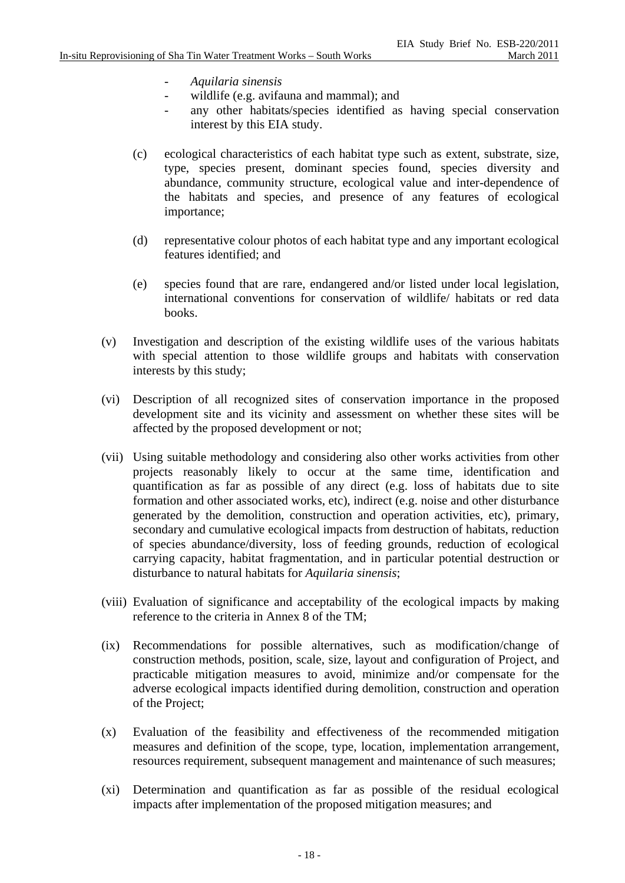- *Aquilaria sinensis*
- wildlife (e.g. avifauna and mammal); and
- any other habitats/species identified as having special conservation interest by this EIA study.
- (c) ecological characteristics of each habitat type such as extent, substrate, size, type, species present, dominant species found, species diversity and abundance, community structure, ecological value and inter-dependence of the habitats and species, and presence of any features of ecological importance;
- (d) representative colour photos of each habitat type and any important ecological features identified; and
- (e) species found that are rare, endangered and/or listed under local legislation, international conventions for conservation of wildlife/ habitats or red data books.
- (v) Investigation and description of the existing wildlife uses of the various habitats with special attention to those wildlife groups and habitats with conservation interests by this study;
- (vi) Description of all recognized sites of conservation importance in the proposed development site and its vicinity and assessment on whether these sites will be affected by the proposed development or not;
- (vii) Using suitable methodology and considering also other works activities from other projects reasonably likely to occur at the same time, identification and quantification as far as possible of any direct (e.g. loss of habitats due to site formation and other associated works, etc), indirect (e.g. noise and other disturbance generated by the demolition, construction and operation activities, etc), primary, secondary and cumulative ecological impacts from destruction of habitats, reduction of species abundance/diversity, loss of feeding grounds, reduction of ecological carrying capacity, habitat fragmentation, and in particular potential destruction or disturbance to natural habitats for *Aquilaria sinensis*;
- (viii) Evaluation of significance and acceptability of the ecological impacts by making reference to the criteria in Annex 8 of the TM;
- (ix) Recommendations for possible alternatives, such as modification/change of construction methods, position, scale, size, layout and configuration of Project, and practicable mitigation measures to avoid, minimize and/or compensate for the adverse ecological impacts identified during demolition, construction and operation of the Project;
- (x) Evaluation of the feasibility and effectiveness of the recommended mitigation measures and definition of the scope, type, location, implementation arrangement, resources requirement, subsequent management and maintenance of such measures;
- (xi) Determination and quantification as far as possible of the residual ecological impacts after implementation of the proposed mitigation measures; and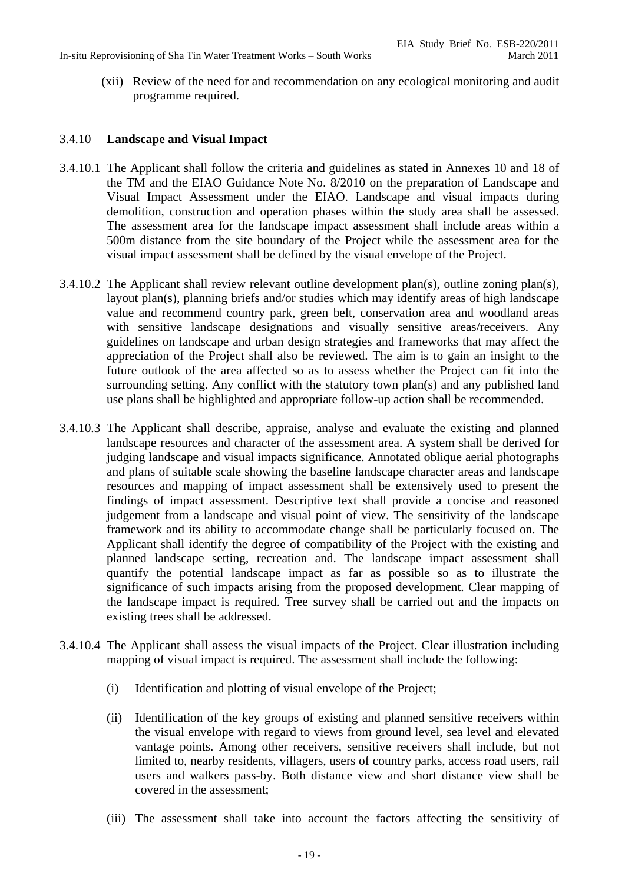(xii) Review of the need for and recommendation on any ecological monitoring and audit programme required.

## 3.4.10 **Landscape and Visual Impact**

- 3.4.10.1 The Applicant shall follow the criteria and guidelines as stated in Annexes 10 and 18 of the TM and the EIAO Guidance Note No. 8/2010 on the preparation of Landscape and Visual Impact Assessment under the EIAO. Landscape and visual impacts during demolition, construction and operation phases within the study area shall be assessed. The assessment area for the landscape impact assessment shall include areas within a 500m distance from the site boundary of the Project while the assessment area for the visual impact assessment shall be defined by the visual envelope of the Project.
- 3.4.10.2 The Applicant shall review relevant outline development plan(s), outline zoning plan(s), layout plan(s), planning briefs and/or studies which may identify areas of high landscape value and recommend country park, green belt, conservation area and woodland areas with sensitive landscape designations and visually sensitive areas/receivers. Any guidelines on landscape and urban design strategies and frameworks that may affect the appreciation of the Project shall also be reviewed. The aim is to gain an insight to the future outlook of the area affected so as to assess whether the Project can fit into the surrounding setting. Any conflict with the statutory town plan(s) and any published land use plans shall be highlighted and appropriate follow-up action shall be recommended.
- 3.4.10.3 The Applicant shall describe, appraise, analyse and evaluate the existing and planned landscape resources and character of the assessment area. A system shall be derived for judging landscape and visual impacts significance. Annotated oblique aerial photographs and plans of suitable scale showing the baseline landscape character areas and landscape resources and mapping of impact assessment shall be extensively used to present the findings of impact assessment. Descriptive text shall provide a concise and reasoned judgement from a landscape and visual point of view. The sensitivity of the landscape framework and its ability to accommodate change shall be particularly focused on. The Applicant shall identify the degree of compatibility of the Project with the existing and planned landscape setting, recreation and. The landscape impact assessment shall quantify the potential landscape impact as far as possible so as to illustrate the significance of such impacts arising from the proposed development. Clear mapping of the landscape impact is required. Tree survey shall be carried out and the impacts on existing trees shall be addressed.
- 3.4.10.4 The Applicant shall assess the visual impacts of the Project. Clear illustration including mapping of visual impact is required. The assessment shall include the following:
	- (i) Identification and plotting of visual envelope of the Project;
	- (ii) Identification of the key groups of existing and planned sensitive receivers within the visual envelope with regard to views from ground level, sea level and elevated vantage points. Among other receivers, sensitive receivers shall include, but not limited to, nearby residents, villagers, users of country parks, access road users, rail users and walkers pass-by. Both distance view and short distance view shall be covered in the assessment;
	- (iii) The assessment shall take into account the factors affecting the sensitivity of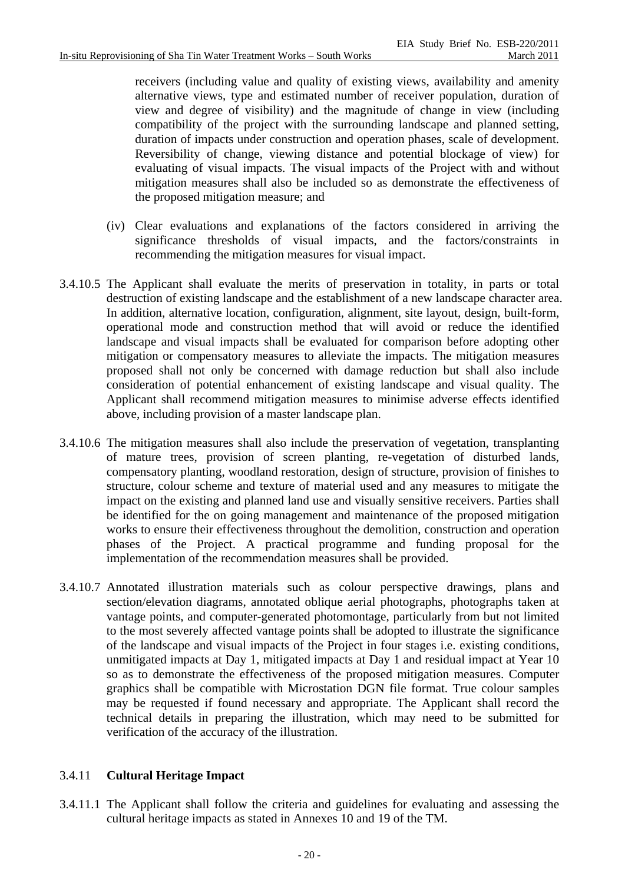receivers (including value and quality of existing views, availability and amenity alternative views, type and estimated number of receiver population, duration of view and degree of visibility) and the magnitude of change in view (including compatibility of the project with the surrounding landscape and planned setting, duration of impacts under construction and operation phases, scale of development. Reversibility of change, viewing distance and potential blockage of view) for evaluating of visual impacts. The visual impacts of the Project with and without mitigation measures shall also be included so as demonstrate the effectiveness of the proposed mitigation measure; and

- (iv) Clear evaluations and explanations of the factors considered in arriving the significance thresholds of visual impacts, and the factors/constraints in recommending the mitigation measures for visual impact.
- 3.4.10.5 The Applicant shall evaluate the merits of preservation in totality, in parts or total destruction of existing landscape and the establishment of a new landscape character area. In addition, alternative location, configuration, alignment, site layout, design, built-form, operational mode and construction method that will avoid or reduce the identified landscape and visual impacts shall be evaluated for comparison before adopting other mitigation or compensatory measures to alleviate the impacts. The mitigation measures proposed shall not only be concerned with damage reduction but shall also include consideration of potential enhancement of existing landscape and visual quality. The Applicant shall recommend mitigation measures to minimise adverse effects identified above, including provision of a master landscape plan.
- 3.4.10.6 The mitigation measures shall also include the preservation of vegetation, transplanting of mature trees, provision of screen planting, re-vegetation of disturbed lands, compensatory planting, woodland restoration, design of structure, provision of finishes to structure, colour scheme and texture of material used and any measures to mitigate the impact on the existing and planned land use and visually sensitive receivers. Parties shall be identified for the on going management and maintenance of the proposed mitigation works to ensure their effectiveness throughout the demolition, construction and operation phases of the Project. A practical programme and funding proposal for the implementation of the recommendation measures shall be provided.
- 3.4.10.7 Annotated illustration materials such as colour perspective drawings, plans and section/elevation diagrams, annotated oblique aerial photographs, photographs taken at vantage points, and computer-generated photomontage, particularly from but not limited to the most severely affected vantage points shall be adopted to illustrate the significance of the landscape and visual impacts of the Project in four stages i.e. existing conditions, unmitigated impacts at Day 1, mitigated impacts at Day 1 and residual impact at Year 10 so as to demonstrate the effectiveness of the proposed mitigation measures. Computer graphics shall be compatible with Microstation DGN file format. True colour samples may be requested if found necessary and appropriate. The Applicant shall record the technical details in preparing the illustration, which may need to be submitted for verification of the accuracy of the illustration.

## 3.4.11 **Cultural Heritage Impact**

3.4.11.1 The Applicant shall follow the criteria and guidelines for evaluating and assessing the cultural heritage impacts as stated in Annexes 10 and 19 of the TM.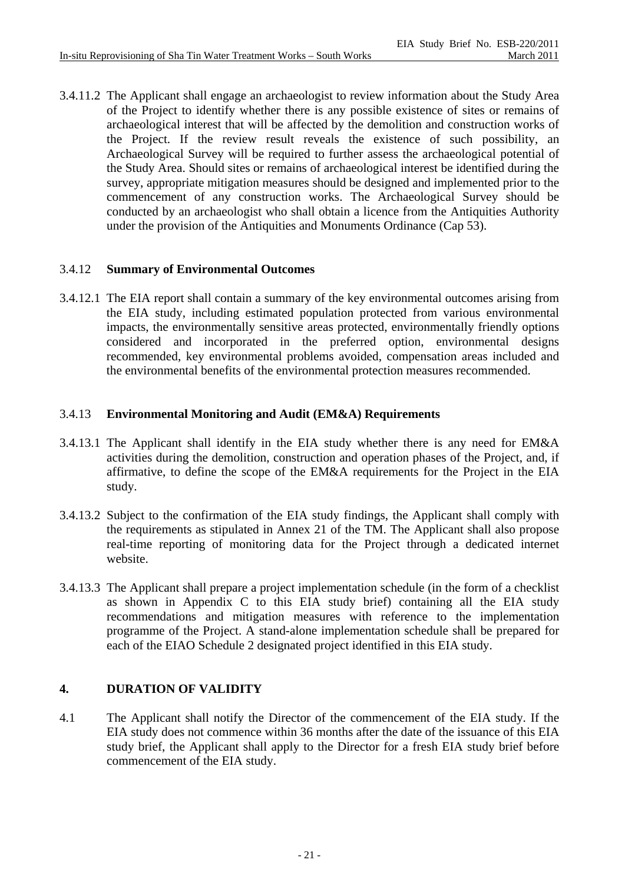3.4.11.2 The Applicant shall engage an archaeologist to review information about the Study Area of the Project to identify whether there is any possible existence of sites or remains of archaeological interest that will be affected by the demolition and construction works of the Project. If the review result reveals the existence of such possibility, an Archaeological Survey will be required to further assess the archaeological potential of the Study Area. Should sites or remains of archaeological interest be identified during the survey, appropriate mitigation measures should be designed and implemented prior to the commencement of any construction works. The Archaeological Survey should be conducted by an archaeologist who shall obtain a licence from the Antiquities Authority under the provision of the Antiquities and Monuments Ordinance (Cap 53).

## 3.4.12 **Summary of Environmental Outcomes**

3.4.12.1 The EIA report shall contain a summary of the key environmental outcomes arising from the EIA study, including estimated population protected from various environmental impacts, the environmentally sensitive areas protected, environmentally friendly options considered and incorporated in the preferred option, environmental designs recommended, key environmental problems avoided, compensation areas included and the environmental benefits of the environmental protection measures recommended.

## 3.4.13 **Environmental Monitoring and Audit (EM&A) Requirements**

- 3.4.13.1 The Applicant shall identify in the EIA study whether there is any need for EM&A activities during the demolition, construction and operation phases of the Project, and, if affirmative, to define the scope of the EM&A requirements for the Project in the EIA study.
- 3.4.13.2 Subject to the confirmation of the EIA study findings, the Applicant shall comply with the requirements as stipulated in Annex 21 of the TM. The Applicant shall also propose real-time reporting of monitoring data for the Project through a dedicated internet website.
- 3.4.13.3 The Applicant shall prepare a project implementation schedule (in the form of a checklist as shown in Appendix C to this EIA study brief) containing all the EIA study recommendations and mitigation measures with reference to the implementation programme of the Project. A stand-alone implementation schedule shall be prepared for each of the EIAO Schedule 2 designated project identified in this EIA study.

## **4. DURATION OF VALIDITY**

4.1 The Applicant shall notify the Director of the commencement of the EIA study. If the EIA study does not commence within 36 months after the date of the issuance of this EIA study brief, the Applicant shall apply to the Director for a fresh EIA study brief before commencement of the EIA study.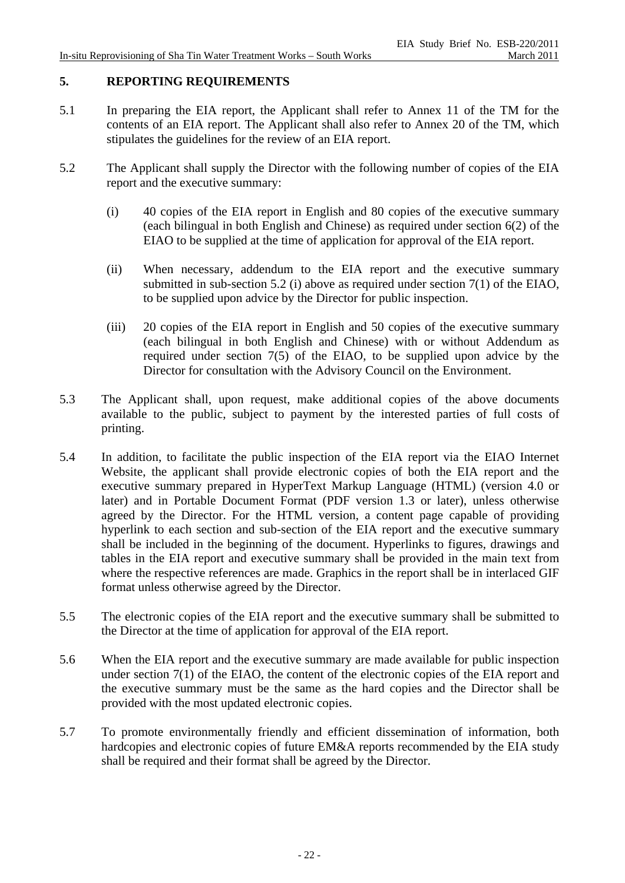# **5. REPORTING REQUIREMENTS**

- 5.1 In preparing the EIA report, the Applicant shall refer to Annex 11 of the TM for the contents of an EIA report. The Applicant shall also refer to Annex 20 of the TM, which stipulates the guidelines for the review of an EIA report.
- 5.2 The Applicant shall supply the Director with the following number of copies of the EIA report and the executive summary:
	- (i) 40 copies of the EIA report in English and 80 copies of the executive summary (each bilingual in both English and Chinese) as required under section 6(2) of the EIAO to be supplied at the time of application for approval of the EIA report.
	- (ii) When necessary, addendum to the EIA report and the executive summary submitted in sub-section 5.2 (i) above as required under section 7(1) of the EIAO, to be supplied upon advice by the Director for public inspection.
	- (iii) 20 copies of the EIA report in English and 50 copies of the executive summary (each bilingual in both English and Chinese) with or without Addendum as required under section 7(5) of the EIAO, to be supplied upon advice by the Director for consultation with the Advisory Council on the Environment.
- 5.3 The Applicant shall, upon request, make additional copies of the above documents available to the public, subject to payment by the interested parties of full costs of printing.
- 5.4 In addition, to facilitate the public inspection of the EIA report via the EIAO Internet Website, the applicant shall provide electronic copies of both the EIA report and the executive summary prepared in HyperText Markup Language (HTML) (version 4.0 or later) and in Portable Document Format (PDF version 1.3 or later), unless otherwise agreed by the Director. For the HTML version, a content page capable of providing hyperlink to each section and sub-section of the EIA report and the executive summary shall be included in the beginning of the document. Hyperlinks to figures, drawings and tables in the EIA report and executive summary shall be provided in the main text from where the respective references are made. Graphics in the report shall be in interlaced GIF format unless otherwise agreed by the Director.
- 5.5 The electronic copies of the EIA report and the executive summary shall be submitted to the Director at the time of application for approval of the EIA report.
- 5.6 When the EIA report and the executive summary are made available for public inspection under section 7(1) of the EIAO, the content of the electronic copies of the EIA report and the executive summary must be the same as the hard copies and the Director shall be provided with the most updated electronic copies.
- 5.7 To promote environmentally friendly and efficient dissemination of information, both hardcopies and electronic copies of future EM&A reports recommended by the EIA study shall be required and their format shall be agreed by the Director.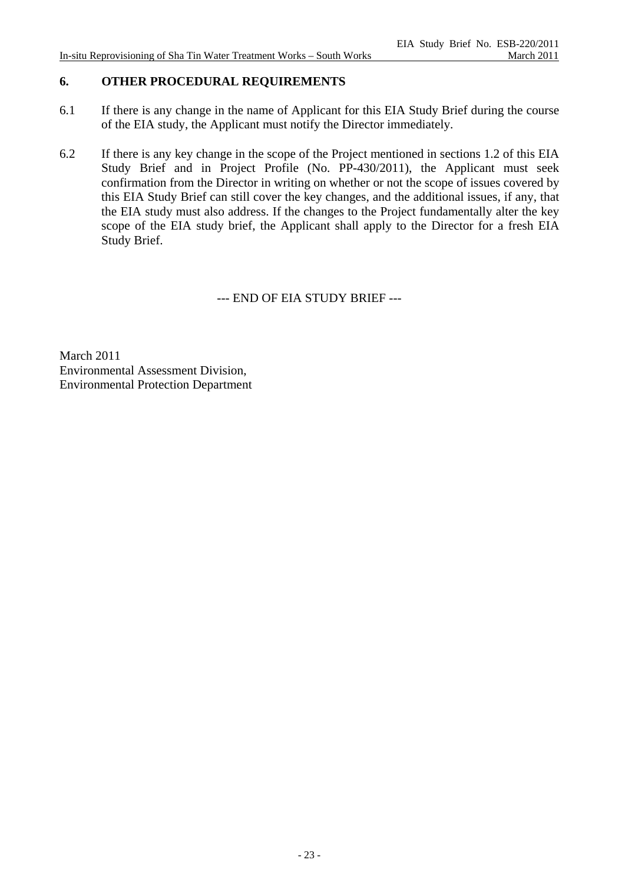## **6. OTHER PROCEDURAL REQUIREMENTS**

- 6.1 If there is any change in the name of Applicant for this EIA Study Brief during the course of the EIA study, the Applicant must notify the Director immediately.
- 6.2 If there is any key change in the scope of the Project mentioned in sections 1.2 of this EIA Study Brief and in Project Profile (No. PP-430/2011), the Applicant must seek confirmation from the Director in writing on whether or not the scope of issues covered by this EIA Study Brief can still cover the key changes, and the additional issues, if any, that the EIA study must also address. If the changes to the Project fundamentally alter the key scope of the EIA study brief, the Applicant shall apply to the Director for a fresh EIA Study Brief.

--- END OF EIA STUDY BRIEF ---

March 2011 Environmental Assessment Division, Environmental Protection Department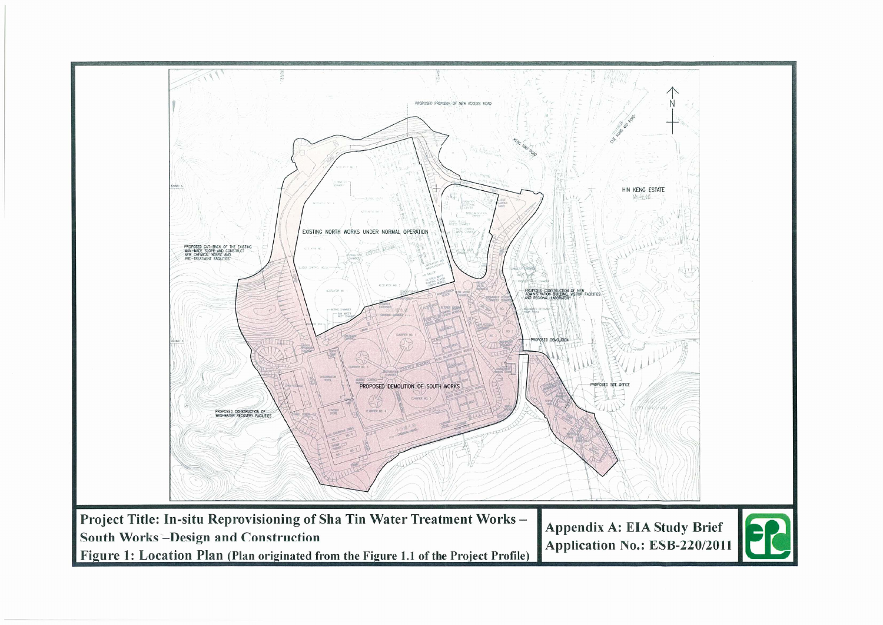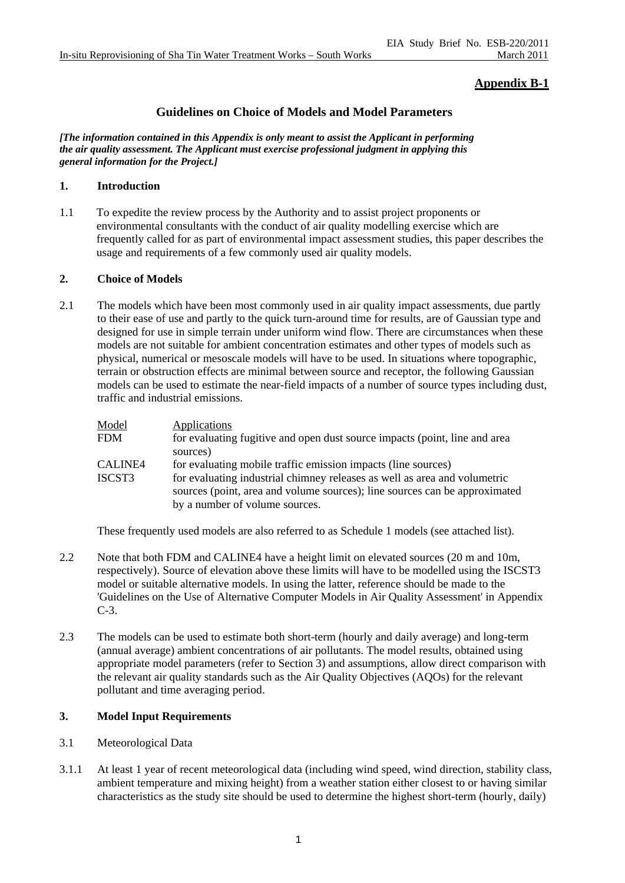## **Appendix B-1**

### **Guidelines on Choice of Models and Model Parameters**

*[The information contained in this Appendix is only meant to assist the Applicant in performing the air quality assessment. The Applicant must exercise professional judgment in applying this general information for the Project.]* 

#### **1. Introduction**

1.1 To expedite the review process by the Authority and to assist project proponents or environmental consultants with the conduct of air quality modelling exercise which are frequently called for as part of environmental impact assessment studies, this paper describes the usage and requirements of a few commonly used air quality models.

#### **2. Choice of Models**

2.1 The models which have been most commonly used in air quality impact assessments, due partly to their ease of use and partly to the quick turn-around time for results, are of Gaussian type and designed for use in simple terrain under uniform wind flow. There are circumstances when these models are not suitable for ambient concentration estimates and other types of models such as physical, numerical or mesoscale models will have to be used. In situations where topographic, terrain or obstruction effects are minimal between source and receptor, the following Gaussian models can be used to estimate the near-field impacts of a number of source types including dust, traffic and industrial emissions.

| Model   | Applications                                                               |
|---------|----------------------------------------------------------------------------|
| FDM     | for evaluating fugitive and open dust source impacts (point, line and area |
|         | sources)                                                                   |
| CALINE4 | for evaluating mobile traffic emission impacts (line sources)              |
| ISCST3  | for evaluating industrial chimney releases as well as area and volumetric  |
|         | sources (point, area and volume sources); line sources can be approximated |
|         | by a number of volume sources.                                             |
|         |                                                                            |

These frequently used models are also referred to as Schedule 1 models (see attached list).

- 2.2 Note that both FDM and CALINE4 have a height limit on elevated sources (20 m and 10m, respectively). Source of elevation above these limits will have to be modelled using the ISCST3 model or suitable alternative models. In using the latter, reference should be made to the 'Guidelines on the Use of Alternative Computer Models in Air Quality Assessment' in Appendix C-3.
- 2.3 The models can be used to estimate both short-term (hourly and daily average) and long-term (annual average) ambient concentrations of air pollutants. The model results, obtained using appropriate model parameters (refer to Section 3) and assumptions, allow direct comparison with the relevant air quality standards such as the Air Quality Objectives (AQOs) for the relevant pollutant and time averaging period.

#### **3. Model Input Requirements**

- 3.1 Meteorological Data
- 3.1.1 At least 1 year of recent meteorological data (including wind speed, wind direction, stability class, ambient temperature and mixing height) from a weather station either closest to or having similar characteristics as the study site should be used to determine the highest short-term (hourly, daily)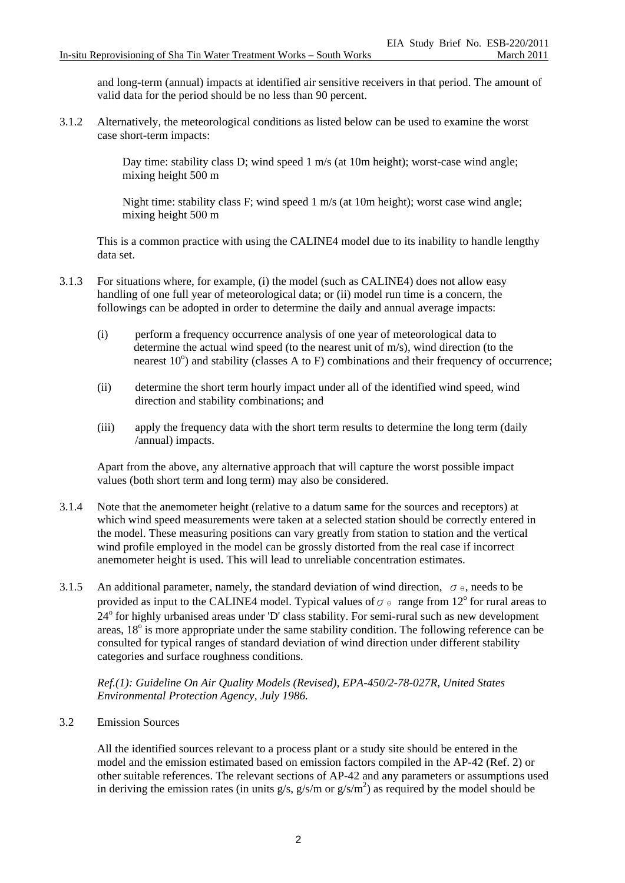and long-term (annual) impacts at identified air sensitive receivers in that period. The amount of valid data for the period should be no less than 90 percent.

3.1.2 Alternatively, the meteorological conditions as listed below can be used to examine the worst case short-term impacts:

> Day time: stability class D; wind speed 1 m/s (at 10m height); worst-case wind angle; mixing height 500 m

> Night time: stability class F; wind speed 1 m/s (at 10m height); worst case wind angle; mixing height 500 m

This is a common practice with using the CALINE4 model due to its inability to handle lengthy data set.

- 3.1.3 For situations where, for example, (i) the model (such as CALINE4) does not allow easy handling of one full year of meteorological data; or (ii) model run time is a concern, the followings can be adopted in order to determine the daily and annual average impacts:
	- (i) perform a frequency occurrence analysis of one year of meteorological data to determine the actual wind speed (to the nearest unit of m/s), wind direction (to the nearest  $10^{\circ}$ ) and stability (classes A to F) combinations and their frequency of occurrence;
	- (ii) determine the short term hourly impact under all of the identified wind speed, wind direction and stability combinations; and
	- (iii) apply the frequency data with the short term results to determine the long term (daily /annual) impacts.

Apart from the above, any alternative approach that will capture the worst possible impact values (both short term and long term) may also be considered.

- 3.1.4 Note that the anemometer height (relative to a datum same for the sources and receptors) at which wind speed measurements were taken at a selected station should be correctly entered in the model. These measuring positions can vary greatly from station to station and the vertical wind profile employed in the model can be grossly distorted from the real case if incorrect anemometer height is used. This will lead to unreliable concentration estimates.
- 3.1.5 An additional parameter, namely, the standard deviation of wind direction,  $\sigma_{\theta}$ , needs to be provided as input to the CALINE4 model. Typical values of  $\sigma \theta$  range from 12<sup>o</sup> for rural areas to 24<sup>°</sup> for highly urbanised areas under 'D' class stability. For semi-rural such as new development areas,  $18^\circ$  is more appropriate under the same stability condition. The following reference can be consulted for typical ranges of standard deviation of wind direction under different stability categories and surface roughness conditions.

*Ref.(1): Guideline On Air Quality Models (Revised), EPA-450/2-78-027R, United States Environmental Protection Agency, July 1986.* 

3.2 Emission Sources

All the identified sources relevant to a process plant or a study site should be entered in the model and the emission estimated based on emission factors compiled in the AP-42 (Ref. 2) or other suitable references. The relevant sections of AP-42 and any parameters or assumptions used in deriving the emission rates (in units  $g/s$ ,  $g/s/m$  or  $g/s/m<sup>2</sup>$ ) as required by the model should be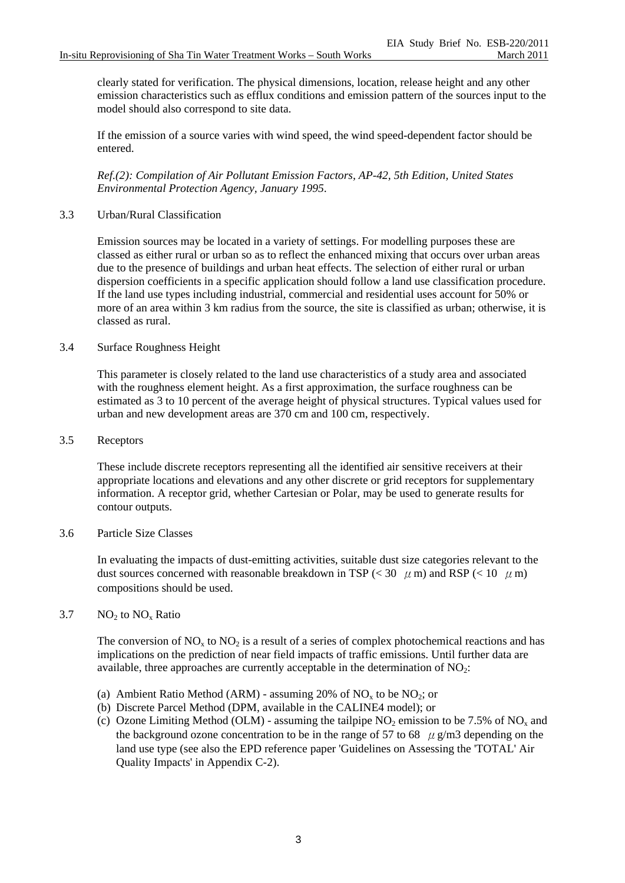clearly stated for verification. The physical dimensions, location, release height and any other emission characteristics such as efflux conditions and emission pattern of the sources input to the model should also correspond to site data.

If the emission of a source varies with wind speed, the wind speed-dependent factor should be entered.

*Ref.(2): Compilation of Air Pollutant Emission Factors, AP-42, 5th Edition, United States Environmental Protection Agency, January 1995*.

#### 3.3 Urban/Rural Classification

Emission sources may be located in a variety of settings. For modelling purposes these are classed as either rural or urban so as to reflect the enhanced mixing that occurs over urban areas due to the presence of buildings and urban heat effects. The selection of either rural or urban dispersion coefficients in a specific application should follow a land use classification procedure. If the land use types including industrial, commercial and residential uses account for 50% or more of an area within 3 km radius from the source, the site is classified as urban; otherwise, it is classed as rural.

#### 3.4 Surface Roughness Height

This parameter is closely related to the land use characteristics of a study area and associated with the roughness element height. As a first approximation, the surface roughness can be estimated as 3 to 10 percent of the average height of physical structures. Typical values used for urban and new development areas are 370 cm and 100 cm, respectively.

#### 3.5 Receptors

These include discrete receptors representing all the identified air sensitive receivers at their appropriate locations and elevations and any other discrete or grid receptors for supplementary information. A receptor grid, whether Cartesian or Polar, may be used to generate results for contour outputs.

#### 3.6 Particle Size Classes

In evaluating the impacts of dust-emitting activities, suitable dust size categories relevant to the dust sources concerned with reasonable breakdown in TSP ( $<$  30  $\mu$  m) and RSP ( $<$  10  $\mu$  m) compositions should be used.

#### 3.7  $NO<sub>2</sub>$  to  $NO<sub>x</sub>$  Ratio

The conversion of NO<sub>x</sub> to NO<sub>2</sub> is a result of a series of complex photochemical reactions and has implications on the prediction of near field impacts of traffic emissions. Until further data are available, three approaches are currently acceptable in the determination of  $NO<sub>2</sub>$ :

- (a) Ambient Ratio Method (ARM) assuming 20% of  $NO<sub>x</sub>$  to be  $NO<sub>2</sub>$ ; or
- (b) Discrete Parcel Method (DPM, available in the CALINE4 model); or
- (c) Ozone Limiting Method (OLM) assuming the tailpipe  $NO_2$  emission to be 7.5% of  $NO_x$  and the background ozone concentration to be in the range of 57 to 68  $\mu$  g/m3 depending on the land use type (see also the EPD reference paper 'Guidelines on Assessing the 'TOTAL' Air Quality Impacts' in Appendix C-2).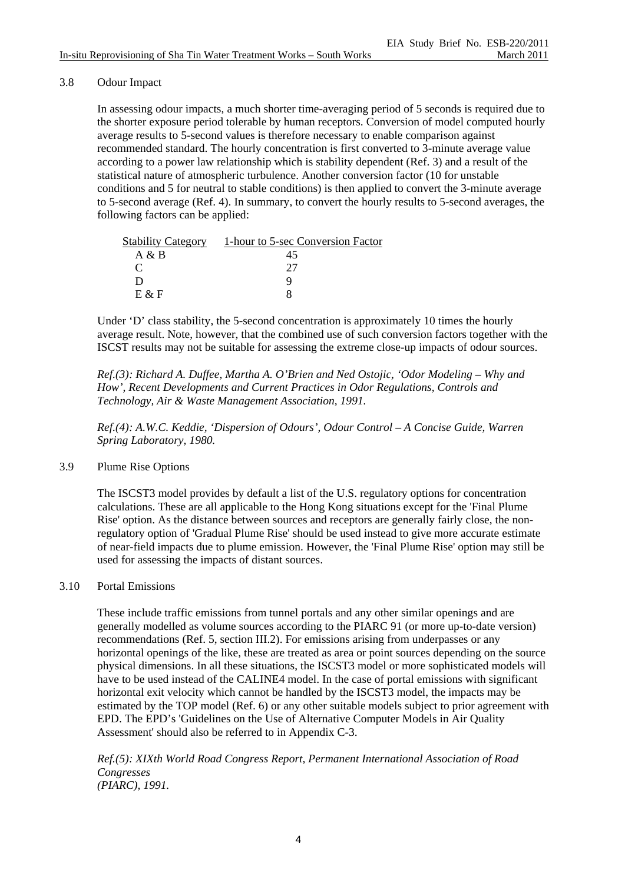### 3.8 Odour Impact

In assessing odour impacts, a much shorter time-averaging period of 5 seconds is required due to the shorter exposure period tolerable by human receptors. Conversion of model computed hourly average results to 5-second values is therefore necessary to enable comparison against recommended standard. The hourly concentration is first converted to 3-minute average value according to a power law relationship which is stability dependent (Ref. 3) and a result of the statistical nature of atmospheric turbulence. Another conversion factor (10 for unstable conditions and 5 for neutral to stable conditions) is then applied to convert the 3-minute average to 5-second average (Ref. 4). In summary, to convert the hourly results to 5-second averages, the following factors can be applied:

| <b>Stability Category</b> | 1-hour to 5-sec Conversion Factor |
|---------------------------|-----------------------------------|
| A & B                     | 45                                |
| $\mathcal{C}$             | 77                                |
| ו ו                       | u                                 |
| $E \& F$                  |                                   |

Under 'D' class stability, the 5-second concentration is approximately 10 times the hourly average result. Note, however, that the combined use of such conversion factors together with the ISCST results may not be suitable for assessing the extreme close-up impacts of odour sources.

*Ref.(3): Richard A. Duffee, Martha A. O'Brien and Ned Ostojic, 'Odor Modeling – Why and How', Recent Developments and Current Practices in Odor Regulations, Controls and Technology, Air & Waste Management Association, 1991.* 

*Ref.(4): A.W.C. Keddie, 'Dispersion of Odours', Odour Control – A Concise Guide, Warren Spring Laboratory, 1980.* 

#### 3.9 Plume Rise Options

The ISCST3 model provides by default a list of the U.S. regulatory options for concentration calculations. These are all applicable to the Hong Kong situations except for the 'Final Plume Rise' option. As the distance between sources and receptors are generally fairly close, the nonregulatory option of 'Gradual Plume Rise' should be used instead to give more accurate estimate of near-field impacts due to plume emission. However, the 'Final Plume Rise' option may still be used for assessing the impacts of distant sources.

#### 3.10 Portal Emissions

These include traffic emissions from tunnel portals and any other similar openings and are generally modelled as volume sources according to the PIARC 91 (or more up-to-date version) recommendations (Ref. 5, section III.2). For emissions arising from underpasses or any horizontal openings of the like, these are treated as area or point sources depending on the source physical dimensions. In all these situations, the ISCST3 model or more sophisticated models will have to be used instead of the CALINE4 model. In the case of portal emissions with significant horizontal exit velocity which cannot be handled by the ISCST3 model, the impacts may be estimated by the TOP model (Ref. 6) or any other suitable models subject to prior agreement with EPD. The EPD's 'Guidelines on the Use of Alternative Computer Models in Air Quality Assessment' should also be referred to in Appendix C-3.

*Ref.(5): XIXth World Road Congress Report, Permanent International Association of Road Congresses (PIARC), 1991.*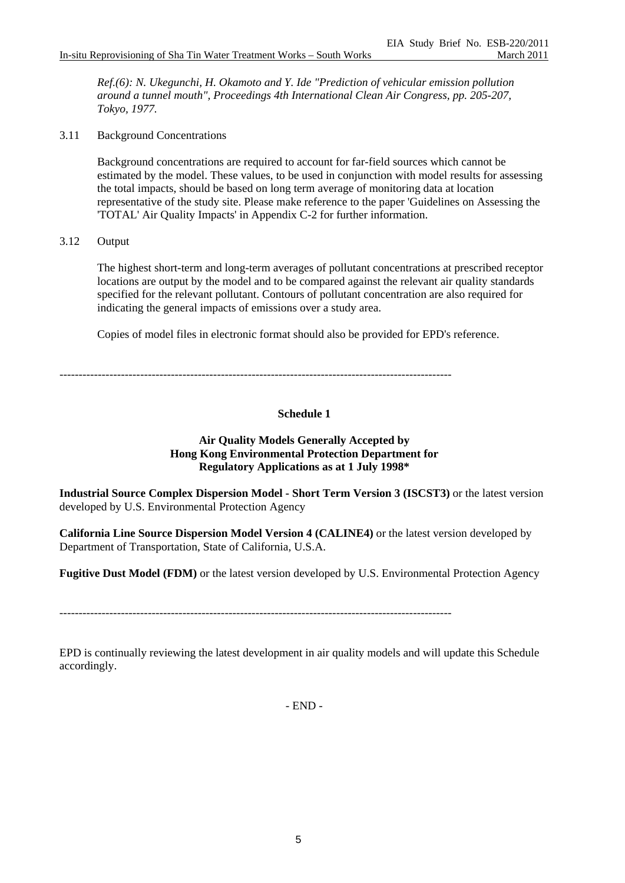*Ref.(6): N. Ukegunchi, H. Okamoto and Y. Ide "Prediction of vehicular emission pollution around a tunnel mouth", Proceedings 4th International Clean Air Congress, pp. 205-207, Tokyo, 1977.* 

3.11 Background Concentrations

Background concentrations are required to account for far-field sources which cannot be estimated by the model. These values, to be used in conjunction with model results for assessing the total impacts, should be based on long term average of monitoring data at location representative of the study site. Please make reference to the paper 'Guidelines on Assessing the 'TOTAL' Air Quality Impacts' in Appendix C-2 for further information.

3.12 Output

The highest short-term and long-term averages of pollutant concentrations at prescribed receptor locations are output by the model and to be compared against the relevant air quality standards specified for the relevant pollutant. Contours of pollutant concentration are also required for indicating the general impacts of emissions over a study area.

Copies of model files in electronic format should also be provided for EPD's reference.

------------------------------------------------------------------------------------------------------

### **Schedule 1**

#### **Air Quality Models Generally Accepted by Hong Kong Environmental Protection Department for Regulatory Applications as at 1 July 1998\***

**Industrial Source Complex Dispersion Model - Short Term Version 3 (ISCST3)** or the latest version developed by U.S. Environmental Protection Agency

**California Line Source Dispersion Model Version 4 (CALINE4)** or the latest version developed by Department of Transportation, State of California, U.S.A.

**Fugitive Dust Model (FDM)** or the latest version developed by U.S. Environmental Protection Agency

------------------------------------------------------------------------------------------------------

EPD is continually reviewing the latest development in air quality models and will update this Schedule accordingly.

- END -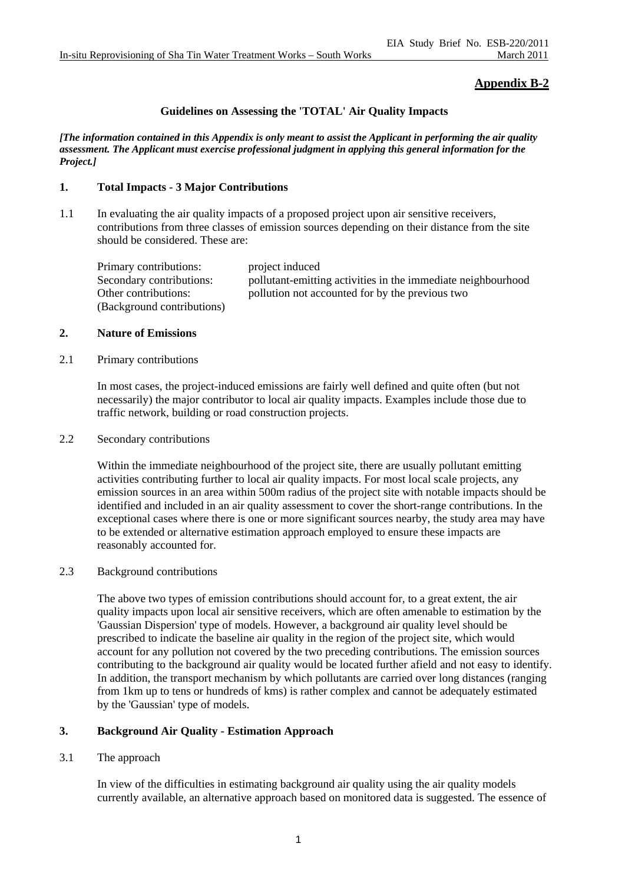# **Appendix B-2**

### **Guidelines on Assessing the 'TOTAL' Air Quality Impacts**

*[The information contained in this Appendix is only meant to assist the Applicant in performing the air quality assessment. The Applicant must exercise professional judgment in applying this general information for the Project.]* 

#### **1. Total Impacts - 3 Major Contributions**

1.1 In evaluating the air quality impacts of a proposed project upon air sensitive receivers, contributions from three classes of emission sources depending on their distance from the site should be considered. These are:

| Primary contributions:     | project induced                                              |
|----------------------------|--------------------------------------------------------------|
| Secondary contributions:   | pollutant-emitting activities in the immediate neighbourhood |
| Other contributions:       | pollution not accounted for by the previous two              |
| (Background contributions) |                                                              |

#### **2. Nature of Emissions**

#### 2.1 Primary contributions

In most cases, the project-induced emissions are fairly well defined and quite often (but not necessarily) the major contributor to local air quality impacts. Examples include those due to traffic network, building or road construction projects.

#### 2.2 Secondary contributions

Within the immediate neighbourhood of the project site, there are usually pollutant emitting activities contributing further to local air quality impacts. For most local scale projects, any emission sources in an area within 500m radius of the project site with notable impacts should be identified and included in an air quality assessment to cover the short-range contributions. In the exceptional cases where there is one or more significant sources nearby, the study area may have to be extended or alternative estimation approach employed to ensure these impacts are reasonably accounted for.

#### 2.3 Background contributions

The above two types of emission contributions should account for, to a great extent, the air quality impacts upon local air sensitive receivers, which are often amenable to estimation by the 'Gaussian Dispersion' type of models. However, a background air quality level should be prescribed to indicate the baseline air quality in the region of the project site, which would account for any pollution not covered by the two preceding contributions. The emission sources contributing to the background air quality would be located further afield and not easy to identify. In addition, the transport mechanism by which pollutants are carried over long distances (ranging from 1km up to tens or hundreds of kms) is rather complex and cannot be adequately estimated by the 'Gaussian' type of models.

#### **3. Background Air Quality - Estimation Approach**

#### 3.1 The approach

In view of the difficulties in estimating background air quality using the air quality models currently available, an alternative approach based on monitored data is suggested. The essence of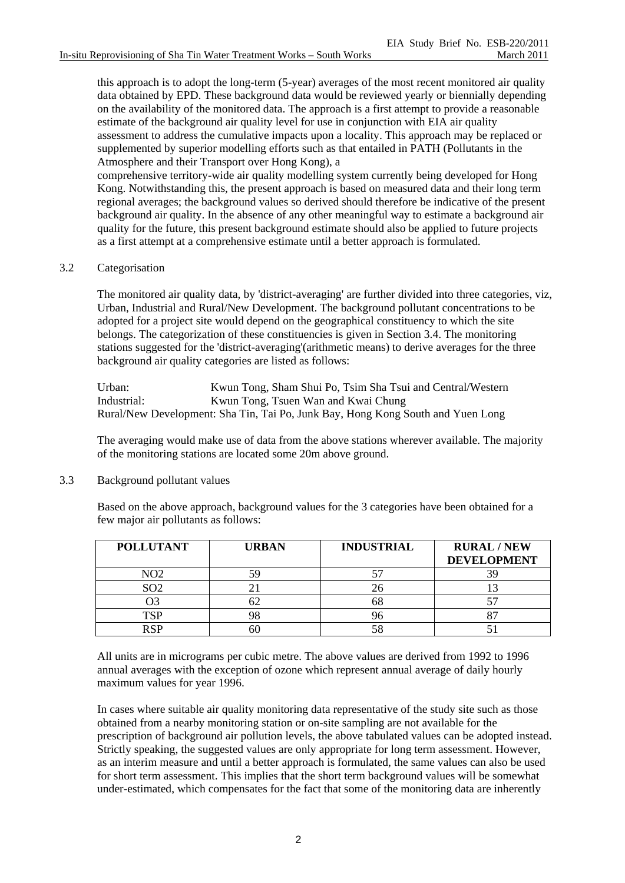this approach is to adopt the long-term (5-year) averages of the most recent monitored air quality data obtained by EPD. These background data would be reviewed yearly or biennially depending on the availability of the monitored data. The approach is a first attempt to provide a reasonable estimate of the background air quality level for use in conjunction with EIA air quality assessment to address the cumulative impacts upon a locality. This approach may be replaced or supplemented by superior modelling efforts such as that entailed in PATH (Pollutants in the Atmosphere and their Transport over Hong Kong), a

comprehensive territory-wide air quality modelling system currently being developed for Hong Kong. Notwithstanding this, the present approach is based on measured data and their long term regional averages; the background values so derived should therefore be indicative of the present background air quality. In the absence of any other meaningful way to estimate a background air quality for the future, this present background estimate should also be applied to future projects as a first attempt at a comprehensive estimate until a better approach is formulated.

### 3.2 Categorisation

The monitored air quality data, by 'district-averaging' are further divided into three categories, viz, Urban, Industrial and Rural/New Development. The background pollutant concentrations to be adopted for a project site would depend on the geographical constituency to which the site belongs. The categorization of these constituencies is given in Section 3.4. The monitoring stations suggested for the 'district-averaging'(arithmetic means) to derive averages for the three background air quality categories are listed as follows:

Urban: Kwun Tong, Sham Shui Po, Tsim Sha Tsui and Central/Western Industrial: Kwun Tong, Tsuen Wan and Kwai Chung Rural/New Development: Sha Tin, Tai Po, Junk Bay, Hong Kong South and Yuen Long

The averaging would make use of data from the above stations wherever available. The majority of the monitoring stations are located some 20m above ground.

#### 3.3 Background pollutant values

Based on the above approach, background values for the 3 categories have been obtained for a few major air pollutants as follows:

| <b>POLLUTANT</b> | <b>URBAN</b> | <b>INDUSTRIAL</b> | <b>RURAL/NEW</b><br><b>DEVELOPMENT</b> |
|------------------|--------------|-------------------|----------------------------------------|
| NO $\Omega$      | 54           |                   |                                        |
| SO <sub>2</sub>  |              | Ζt                |                                        |
|                  | 62           | 68                |                                        |
| TCD              |              |                   |                                        |
| DCD              | DU.          | 58                |                                        |

All units are in micrograms per cubic metre. The above values are derived from 1992 to 1996 annual averages with the exception of ozone which represent annual average of daily hourly maximum values for year 1996.

In cases where suitable air quality monitoring data representative of the study site such as those obtained from a nearby monitoring station or on-site sampling are not available for the prescription of background air pollution levels, the above tabulated values can be adopted instead. Strictly speaking, the suggested values are only appropriate for long term assessment. However, as an interim measure and until a better approach is formulated, the same values can also be used for short term assessment. This implies that the short term background values will be somewhat under-estimated, which compensates for the fact that some of the monitoring data are inherently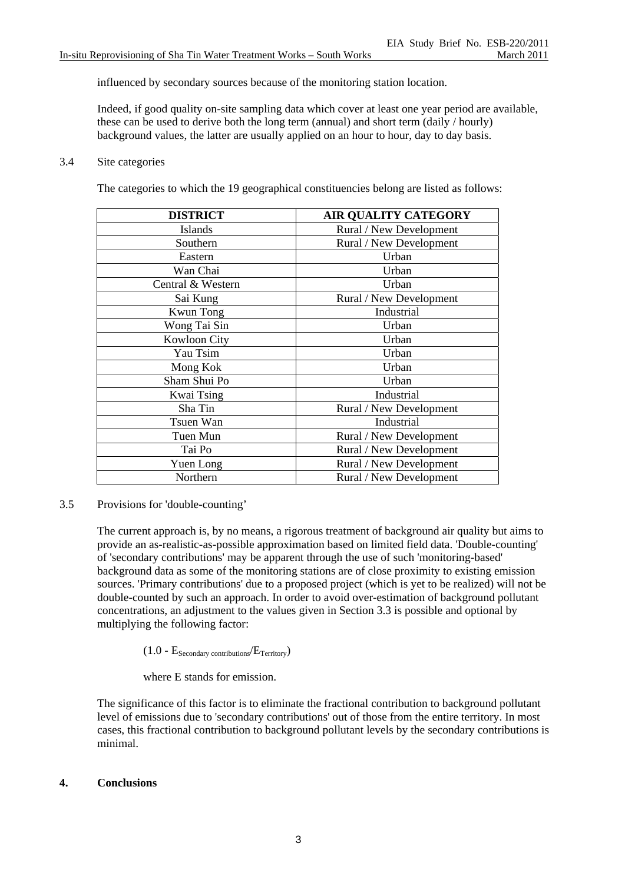influenced by secondary sources because of the monitoring station location.

Indeed, if good quality on-site sampling data which cover at least one year period are available, these can be used to derive both the long term (annual) and short term (daily / hourly) background values, the latter are usually applied on an hour to hour, day to day basis.

#### 3.4 Site categories

The categories to which the 19 geographical constituencies belong are listed as follows:

| <b>DISTRICT</b>     | <b>AIR QUALITY CATEGORY</b> |  |  |
|---------------------|-----------------------------|--|--|
| Islands             | Rural / New Development     |  |  |
| Southern            | Rural / New Development     |  |  |
| Eastern             | Urban                       |  |  |
| Wan Chai            | Urban                       |  |  |
| Central & Western   | Urban                       |  |  |
| Sai Kung            | Rural / New Development     |  |  |
| <b>Kwun Tong</b>    | Industrial                  |  |  |
| Wong Tai Sin        | Urban                       |  |  |
| <b>Kowloon City</b> | Urban                       |  |  |
| Yau Tsim            | Urban                       |  |  |
| Mong Kok            | Urban                       |  |  |
| Sham Shui Po        | Urban                       |  |  |
| Kwai Tsing          | Industrial                  |  |  |
| Sha Tin             | Rural / New Development     |  |  |
| Tsuen Wan           | Industrial                  |  |  |
| Tuen Mun            | Rural / New Development     |  |  |
| Tai Po              | Rural / New Development     |  |  |
| Yuen Long           | Rural / New Development     |  |  |
| Northern            | Rural / New Development     |  |  |

3.5 Provisions for 'double-counting'

The current approach is, by no means, a rigorous treatment of background air quality but aims to provide an as-realistic-as-possible approximation based on limited field data. 'Double-counting' of 'secondary contributions' may be apparent through the use of such 'monitoring-based' background data as some of the monitoring stations are of close proximity to existing emission sources. 'Primary contributions' due to a proposed project (which is yet to be realized) will not be double-counted by such an approach. In order to avoid over-estimation of background pollutant concentrations, an adjustment to the values given in Section 3.3 is possible and optional by multiplying the following factor:

 $(1.0 - E_{\text{Secondary contributions}}/E_{\text{Territory}})$ 

where E stands for emission.

The significance of this factor is to eliminate the fractional contribution to background pollutant level of emissions due to 'secondary contributions' out of those from the entire territory. In most cases, this fractional contribution to background pollutant levels by the secondary contributions is minimal.

#### **4. Conclusions**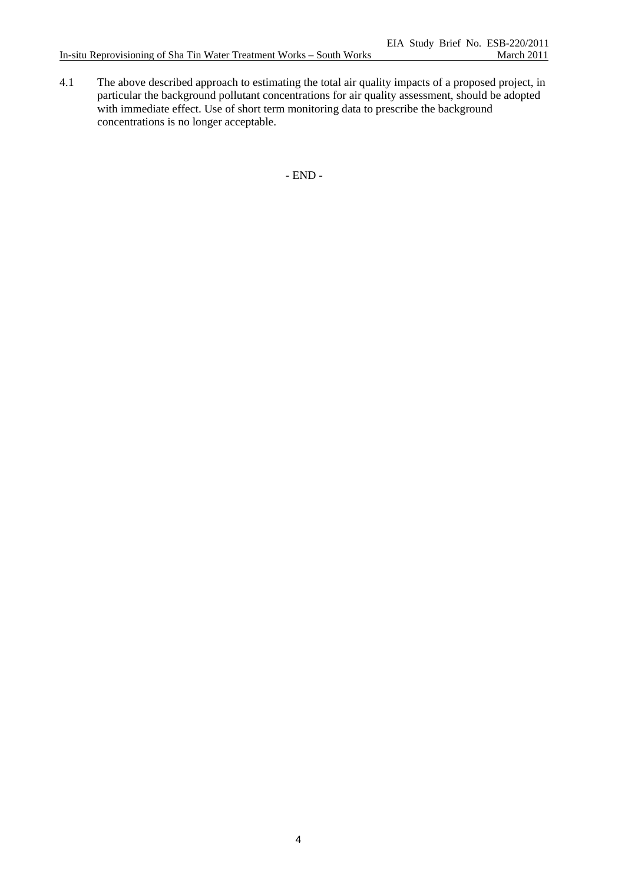4.1 The above described approach to estimating the total air quality impacts of a proposed project, in particular the background pollutant concentrations for air quality assessment, should be adopted with immediate effect. Use of short term monitoring data to prescribe the background concentrations is no longer acceptable.

- END -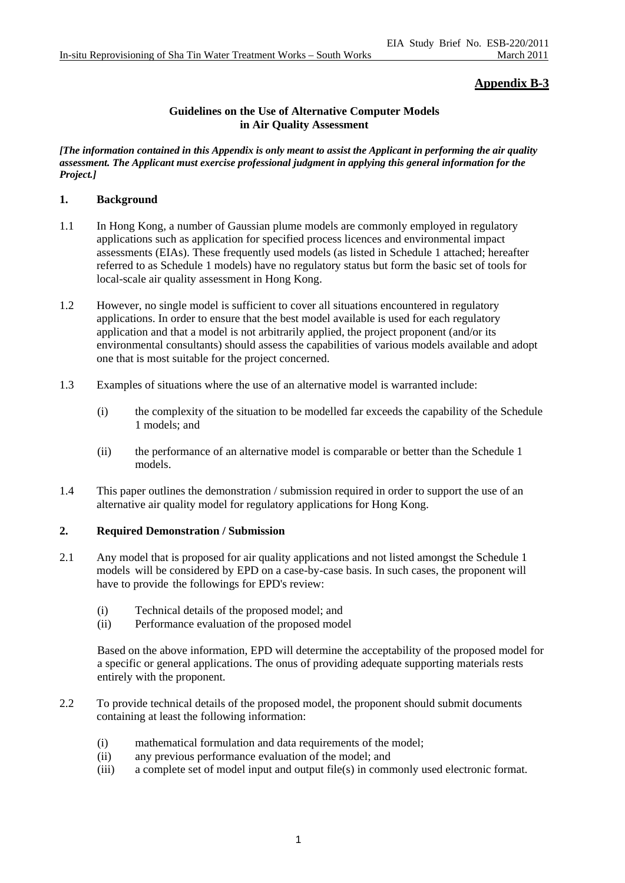## **Appendix B-3**

### **Guidelines on the Use of Alternative Computer Models in Air Quality Assessment**

*[The information contained in this Appendix is only meant to assist the Applicant in performing the air quality assessment. The Applicant must exercise professional judgment in applying this general information for the Project.]* 

### **1. Background**

- 1.1 In Hong Kong, a number of Gaussian plume models are commonly employed in regulatory applications such as application for specified process licences and environmental impact assessments (EIAs). These frequently used models (as listed in Schedule 1 attached; hereafter referred to as Schedule 1 models) have no regulatory status but form the basic set of tools for local-scale air quality assessment in Hong Kong.
- 1.2 However, no single model is sufficient to cover all situations encountered in regulatory applications. In order to ensure that the best model available is used for each regulatory application and that a model is not arbitrarily applied, the project proponent (and/or its environmental consultants) should assess the capabilities of various models available and adopt one that is most suitable for the project concerned.
- 1.3 Examples of situations where the use of an alternative model is warranted include:
	- (i) the complexity of the situation to be modelled far exceeds the capability of the Schedule 1 models; and
	- (ii) the performance of an alternative model is comparable or better than the Schedule 1 models.
- 1.4 This paper outlines the demonstration / submission required in order to support the use of an alternative air quality model for regulatory applications for Hong Kong.

### **2. Required Demonstration / Submission**

- 2.1 Any model that is proposed for air quality applications and not listed amongst the Schedule 1 models will be considered by EPD on a case-by-case basis. In such cases, the proponent will have to provide the followings for EPD's review:
	- (i) Technical details of the proposed model; and
	- (ii) Performance evaluation of the proposed model

Based on the above information, EPD will determine the acceptability of the proposed model for a specific or general applications. The onus of providing adequate supporting materials rests entirely with the proponent.

- 2.2 To provide technical details of the proposed model, the proponent should submit documents containing at least the following information:
	- (i) mathematical formulation and data requirements of the model;
	- (ii) any previous performance evaluation of the model; and
	- (iii) a complete set of model input and output file(s) in commonly used electronic format.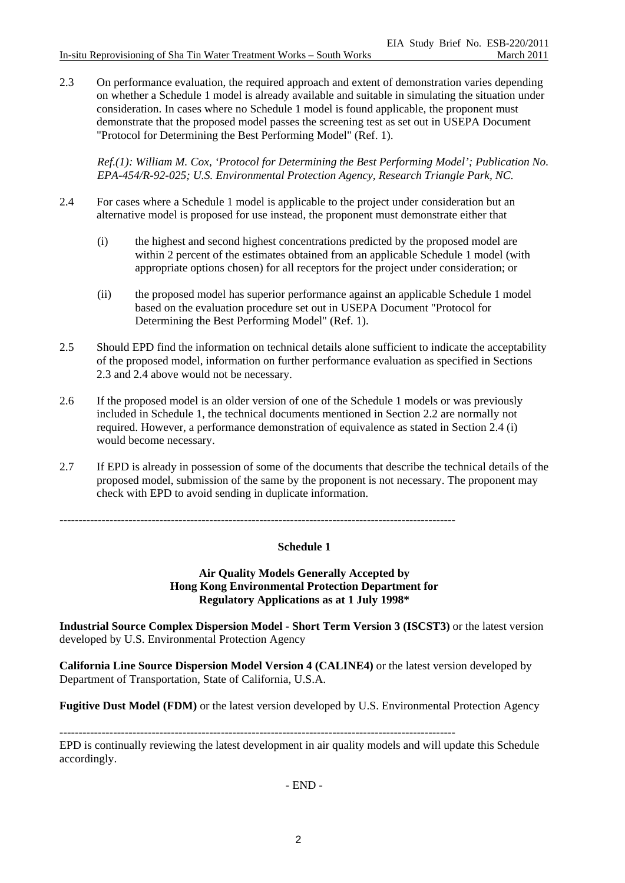2.3 On performance evaluation, the required approach and extent of demonstration varies depending on whether a Schedule 1 model is already available and suitable in simulating the situation under consideration. In cases where no Schedule 1 model is found applicable, the proponent must demonstrate that the proposed model passes the screening test as set out in USEPA Document "Protocol for Determining the Best Performing Model" (Ref. 1).

*Ref.(1): William M. Cox, 'Protocol for Determining the Best Performing Model'; Publication No. EPA-454/R-92-025; U.S. Environmental Protection Agency, Research Triangle Park, NC.* 

- 2.4 For cases where a Schedule 1 model is applicable to the project under consideration but an alternative model is proposed for use instead, the proponent must demonstrate either that
	- (i) the highest and second highest concentrations predicted by the proposed model are within 2 percent of the estimates obtained from an applicable Schedule 1 model (with appropriate options chosen) for all receptors for the project under consideration; or
	- (ii) the proposed model has superior performance against an applicable Schedule 1 model based on the evaluation procedure set out in USEPA Document "Protocol for Determining the Best Performing Model" (Ref. 1).
- 2.5 Should EPD find the information on technical details alone sufficient to indicate the acceptability of the proposed model, information on further performance evaluation as specified in Sections 2.3 and 2.4 above would not be necessary.
- 2.6 If the proposed model is an older version of one of the Schedule 1 models or was previously included in Schedule 1, the technical documents mentioned in Section 2.2 are normally not required. However, a performance demonstration of equivalence as stated in Section 2.4 (i) would become necessary.
- 2.7 If EPD is already in possession of some of the documents that describe the technical details of the proposed model, submission of the same by the proponent is not necessary. The proponent may check with EPD to avoid sending in duplicate information.

#### **Schedule 1**

**Air Quality Models Generally Accepted by Hong Kong Environmental Protection Department for Regulatory Applications as at 1 July 1998\*** 

**Industrial Source Complex Dispersion Model - Short Term Version 3 (ISCST3)** or the latest version developed by U.S. Environmental Protection Agency

**California Line Source Dispersion Model Version 4 (CALINE4)** or the latest version developed by Department of Transportation, State of California, U.S.A.

**Fugitive Dust Model (FDM)** or the latest version developed by U.S. Environmental Protection Agency

-------------------------------------------------------------------------------------------------------

EPD is continually reviewing the latest development in air quality models and will update this Schedule accordingly.

- END -